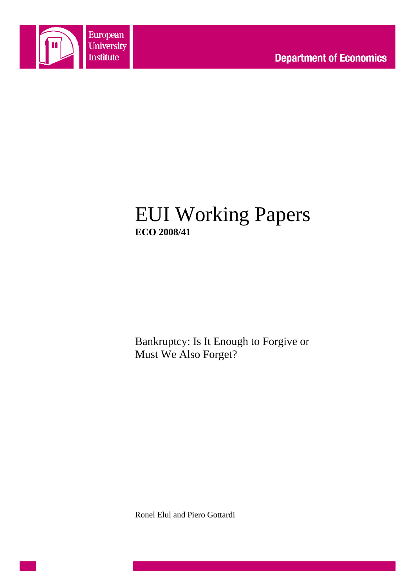

# EUI Working Papers **ECO 2008/41**

Bankruptcy: Is It Enough to Forgive or Must We Also Forget?

Ronel Elul and Piero Gottardi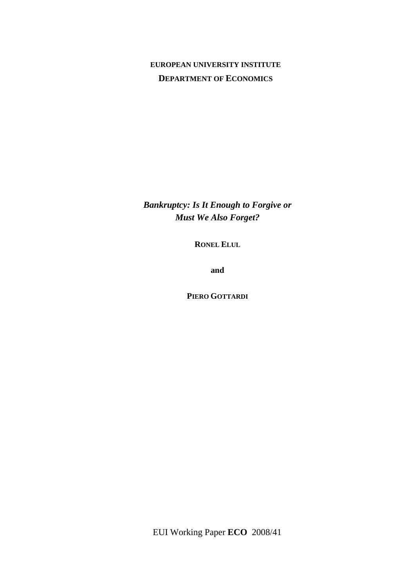### **EUROPEAN UNIVERSITY INSTITUTE DEPARTMENT OF ECONOMICS**

*Bankruptcy: Is It Enough to Forgive or Must We Also Forget?* 

**RONEL ELUL**

**and**

**PIERO GOTTARDI**

EUI Working Paper **ECO** 2008/41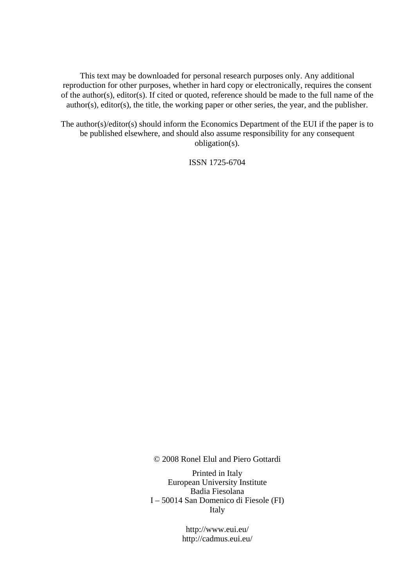This text may be downloaded for personal research purposes only. Any additional reproduction for other purposes, whether in hard copy or electronically, requires the consent of the author(s), editor(s). If cited or quoted, reference should be made to the full name of the author(s), editor(s), the title, the working paper or other series, the year, and the publisher.

The author(s)/editor(s) should inform the Economics Department of the EUI if the paper is to be published elsewhere, and should also assume responsibility for any consequent obligation(s).

ISSN 1725-6704

© 2008 Ronel Elul and Piero Gottardi

Printed in Italy European University Institute Badia Fiesolana I – 50014 San Domenico di Fiesole (FI) Italy

> http://www.eui.eu/ http://cadmus.eui.eu/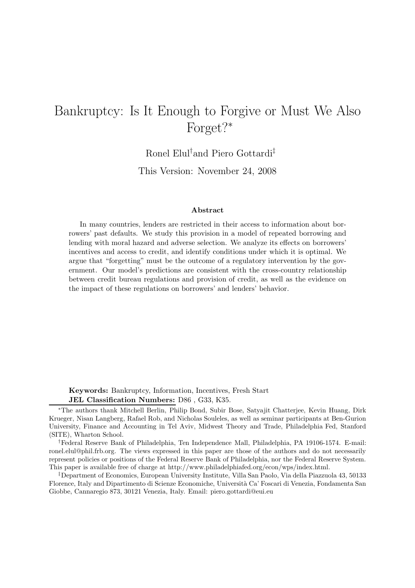# $B^{\text{max}}$  is  $\frac{1}{2}$  it is  $\frac{1}{2}$  in  $\frac{1}{2}$  . It is  $\frac{1}{2}$  is  $\frac{1}{2}$  if  $\frac{1}{2}$  is  $\frac{1}{2}$  if  $\frac{1}{2}$  is  $\frac{1}{2}$  if  $\frac{1}{2}$  is  $\frac{1}{2}$  if  $\frac{1}{2}$  is  $\frac{1}{2}$  if  $\frac{1}{2}$  if  $\frac{1}{2}$  is  $\frac{1$ Forget?<sup>∗</sup>

Ronel Elul† and Piero Gottardi‡

This Version: November 24, 2008

#### **Abstract**

In many countries, lenders are restricted in their access to information about borrowers' past defaults. We study this provision in a model of repeated borrowing and lending with moral hazard and adverse selection. We analyze its effects on borrowers' incentives and access to credit, and identify conditions under which it is optimal. We argue that "forgetting" must be the outcome of a regulatory intervention by the government. Our model's predictions are consistent with the cross-country relationship between credit bureau regulations and provision of credit, as well as the evidence on the impact of these regulations on borrowers' and lenders' behavior.

**Keywords:** Bankruptcy, Information, Incentives, Fresh Start **JEL Classification Numbers:** D86 , G33, K35.

†Federal Reserve Bank of Philadelphia, Ten Independence Mall, Philadelphia, PA 19106-1574. E-mail: ronel.elul@phil.frb.org. The views expressed in this paper are those of the authors and do not necessarily represent policies or positions of the Federal Reserve Bank of Philadelphia, nor the Federal Reserve System. This paper is available free of charge at http://www.philadelphiafed.org/econ/wps/index.html.

‡Department of Economics, European University Institute, Villa San Paolo, Via della Piazzuola 43, 50133 Florence, Italy and Dipartimento di Scienze Economiche, Università Ca' Foscari di Venezia, Fondamenta San Giobbe, Cannaregio 873, 30121 Venezia, Italy. Email: piero.gottardi@eui.eu

<sup>∗</sup>The authors thank Mitchell Berlin, Philip Bond, Subir Bose, Satyajit Chatterjee, Kevin Huang, Dirk Krueger, Nisan Langberg, Rafael Rob, and Nicholas Souleles, as well as seminar participants at Ben-Gurion University, Finance and Accounting in Tel Aviv, Midwest Theory and Trade, Philadelphia Fed, Stanford (SITE), Wharton School.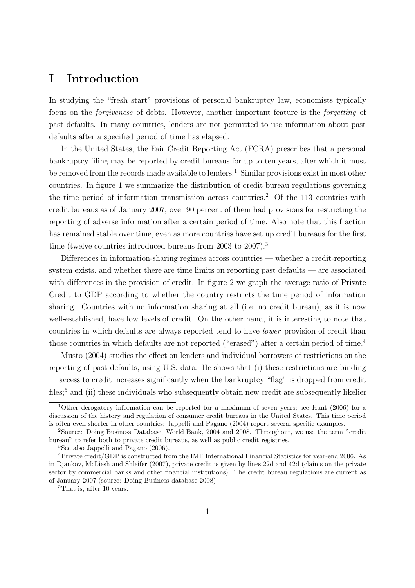### **I Introduction**

In studying the "fresh start" provisions of personal bankruptcy law, economists typically focus on the forgiveness of debts. However, another important feature is the forgetting of past defaults. In many countries, lenders are not permitted to use information about past defaults after a specified period of time has elapsed.

In the United States, the Fair Credit Reporting Act (FCRA) prescribes that a personal bankruptcy filing may be reported by credit bureaus for up to ten years, after which it must be removed from the records made available to lenders.<sup>1</sup> Similar provisions exist in most other countries. In figure 1 we summarize the distribution of credit bureau regulations governing the time period of information transmission across countries.<sup>2</sup> Of the 113 countries with credit bureaus as of January 2007, over 90 percent of them had provisions for restricting the reporting of adverse information after a certain period of time. Also note that this fraction has remained stable over time, even as more countries have set up credit bureaus for the first time (twelve countries introduced bureaus from 2003 to 2007).<sup>3</sup>

Differences in information-sharing regimes across countries — whether a credit-reporting system exists, and whether there are time limits on reporting past defaults — are associated with differences in the provision of credit. In figure 2 we graph the average ratio of Private Credit to GDP according to whether the country restricts the time period of information sharing. Countries with no information sharing at all (i.e. no credit bureau), as it is now well-established, have low levels of credit. On the other hand, it is interesting to note that countries in which defaults are always reported tend to have lower provision of credit than those countries in which defaults are not reported ("erased") after a certain period of time.<sup>4</sup>

Musto (2004) studies the effect on lenders and individual borrowers of restrictions on the reporting of past defaults, using U.S. data. He shows that (i) these restrictions are binding — access to credit increases significantly when the bankruptcy "flag" is dropped from credit files:<sup>5</sup> and (ii) these individuals who subsequently obtain new credit are subsequently likelier

<sup>1</sup>Other derogatory information can be reported for a maximum of seven years; see Hunt (2006) for a discussion of the history and regulation of consumer credit bureaus in the United States. This time period is often even shorter in other countries; Jappelli and Pagano (2004) report several specific examples.

<sup>2</sup>Source: Doing Business Database, World Bank, 2004 and 2008. Throughout, we use the term "credit bureau" to refer both to private credit bureaus, as well as public credit registries.

<sup>3</sup>See also Jappelli and Pagano (2006).

<sup>4</sup>Private credit/GDP is constructed from the IMF International Financial Statistics for year-end 2006. As in Djankov, McLiesh and Shleifer (2007), private credit is given by lines 22d and 42d (claims on the private sector by commercial banks and other financial institutions). The credit bureau regulations are current as of January 2007 (source: Doing Business database 2008).

<sup>&</sup>lt;sup>5</sup>That is, after 10 years.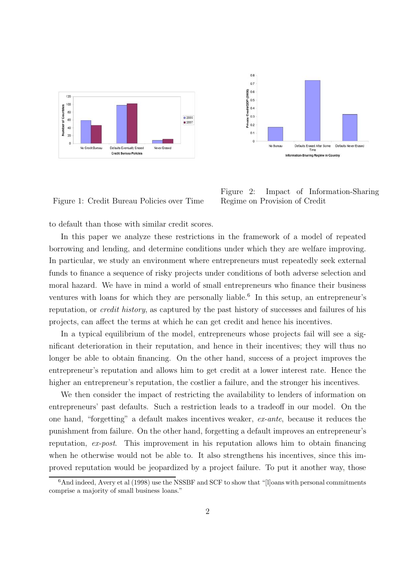

 $0.8$  $0.7$ Private Credit/GDP (2006)<br> $\frac{1}{2}$   $\frac{1}{2}$   $\frac{1}{2}$   $\frac{1}{3}$   $\frac{1}{3}$   $\frac{1}{6}$  $0.1$  $\overline{0}$ No Bureau Defaults Erased After Some<br>Time Defaults Never Erased Sharing Regime in Country

Figure 1: Credit Bureau Policies over Time

Figure 2: Impact of Information-Sharing Regime on Provision of Credit

to default than those with similar credit scores.

In this paper we analyze these restrictions in the framework of a model of repeated borrowing and lending, and determine conditions under which they are welfare improving. In particular, we study an environment where entrepreneurs must repeatedly seek external funds to finance a sequence of risky projects under conditions of both adverse selection and moral hazard. We have in mind a world of small entrepreneurs who finance their business ventures with loans for which they are personally liable.<sup>6</sup> In this setup, an entrepreneur's reputation, or credit history, as captured by the past history of successes and failures of his projects, can affect the terms at which he can get credit and hence his incentives.

In a typical equilibrium of the model, entrepreneurs whose projects fail will see a significant deterioration in their reputation, and hence in their incentives; they will thus no longer be able to obtain financing. On the other hand, success of a project improves the entrepreneur's reputation and allows him to get credit at a lower interest rate. Hence the higher an entrepreneur's reputation, the costlier a failure, and the stronger his incentives.

We then consider the impact of restricting the availability to lenders of information on entrepreneurs' past defaults. Such a restriction leads to a tradeoff in our model. On the one hand, "forgetting" a default makes incentives weaker, ex-ante, because it reduces the punishment from failure. On the other hand, forgetting a default improves an entrepreneur's reputation, ex-post. This improvement in his reputation allows him to obtain financing when he otherwise would not be able to. It also strengthens his incentives, since this improved reputation would be jeopardized by a project failure. To put it another way, those

<sup>&</sup>lt;sup>6</sup>And indeed, Avery et al (1998) use the NSSBF and SCF to show that "[l]oans with personal commitments comprise a majority of small business loans."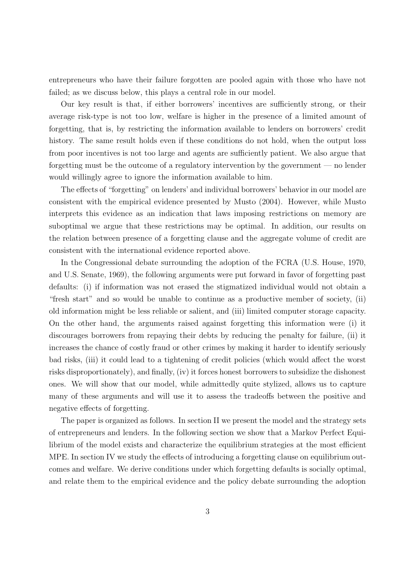entrepreneurs who have their failure forgotten are pooled again with those who have not failed; as we discuss below, this plays a central role in our model.

Our key result is that, if either borrowers' incentives are sufficiently strong, or their average risk-type is not too low, welfare is higher in the presence of a limited amount of forgetting, that is, by restricting the information available to lenders on borrowers' credit history. The same result holds even if these conditions do not hold, when the output loss from poor incentives is not too large and agents are sufficiently patient. We also argue that forgetting must be the outcome of a regulatory intervention by the government — no lender would willingly agree to ignore the information available to him.

The effects of "forgetting" on lenders' and individual borrowers' behavior in our model are consistent with the empirical evidence presented by Musto (2004). However, while Musto interprets this evidence as an indication that laws imposing restrictions on memory are suboptimal we argue that these restrictions may be optimal. In addition, our results on the relation between presence of a forgetting clause and the aggregate volume of credit are consistent with the international evidence reported above.

In the Congressional debate surrounding the adoption of the FCRA (U.S. House, 1970, and U.S. Senate, 1969), the following arguments were put forward in favor of forgetting past defaults: (i) if information was not erased the stigmatized individual would not obtain a "fresh start" and so would be unable to continue as a productive member of society, (ii) old information might be less reliable or salient, and (iii) limited computer storage capacity. On the other hand, the arguments raised against forgetting this information were (i) it discourages borrowers from repaying their debts by reducing the penalty for failure, (ii) it increases the chance of costly fraud or other crimes by making it harder to identify seriously bad risks, (iii) it could lead to a tightening of credit policies (which would affect the worst risks disproportionately), and finally, (iv) it forces honest borrowers to subsidize the dishonest ones. We will show that our model, while admittedly quite stylized, allows us to capture many of these arguments and will use it to assess the tradeoffs between the positive and negative effects of forgetting.

The paper is organized as follows. In section II we present the model and the strategy sets of entrepreneurs and lenders. In the following section we show that a Markov Perfect Equilibrium of the model exists and characterize the equilibrium strategies at the most efficient MPE. In section IV we study the effects of introducing a forgetting clause on equilibrium outcomes and welfare. We derive conditions under which forgetting defaults is socially optimal, and relate them to the empirical evidence and the policy debate surrounding the adoption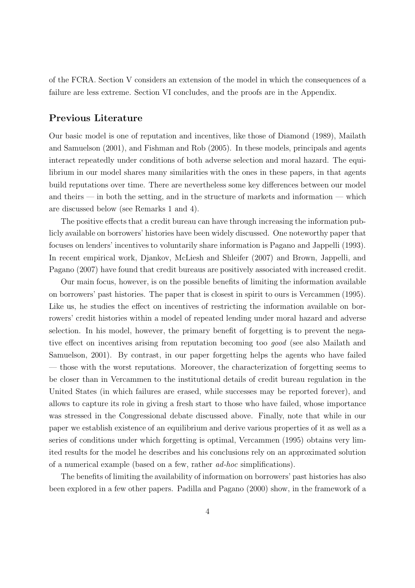of the FCRA. Section V considers an extension of the model in which the consequences of a failure are less extreme. Section VI concludes, and the proofs are in the Appendix.

### **Previous Literature**

Our basic model is one of reputation and incentives, like those of Diamond (1989), Mailath and Samuelson (2001), and Fishman and Rob (2005). In these models, principals and agents interact repeatedly under conditions of both adverse selection and moral hazard. The equilibrium in our model shares many similarities with the ones in these papers, in that agents build reputations over time. There are nevertheless some key differences between our model and theirs  $\frac{1}{2}$  in both the setting, and in the structure of markets and information  $\frac{1}{2}$  which are discussed below (see Remarks 1 and 4).

The positive effects that a credit bureau can have through increasing the information publicly available on borrowers' histories have been widely discussed. One noteworthy paper that focuses on lenders' incentives to voluntarily share information is Pagano and Jappelli (1993). In recent empirical work, Djankov, McLiesh and Shleifer (2007) and Brown, Jappelli, and Pagano (2007) have found that credit bureaus are positively associated with increased credit.

Our main focus, however, is on the possible benefits of limiting the information available on borrowers' past histories. The paper that is closest in spirit to ours is Vercammen (1995). Like us, he studies the effect on incentives of restricting the information available on borrowers' credit histories within a model of repeated lending under moral hazard and adverse selection. In his model, however, the primary benefit of forgetting is to prevent the negative effect on incentives arising from reputation becoming too good (see also Mailath and Samuelson, 2001). By contrast, in our paper forgetting helps the agents who have failed — those with the worst reputations. Moreover, the characterization of forgetting seems to be closer than in Vercammen to the institutional details of credit bureau regulation in the United States (in which failures are erased, while successes may be reported forever), and allows to capture its role in giving a fresh start to those who have failed, whose importance was stressed in the Congressional debate discussed above. Finally, note that while in our paper we establish existence of an equilibrium and derive various properties of it as well as a series of conditions under which forgetting is optimal, Vercammen (1995) obtains very limited results for the model he describes and his conclusions rely on an approximated solution of a numerical example (based on a few, rather ad-hoc simplifications).

The benefits of limiting the availability of information on borrowers' past histories has also been explored in a few other papers. Padilla and Pagano (2000) show, in the framework of a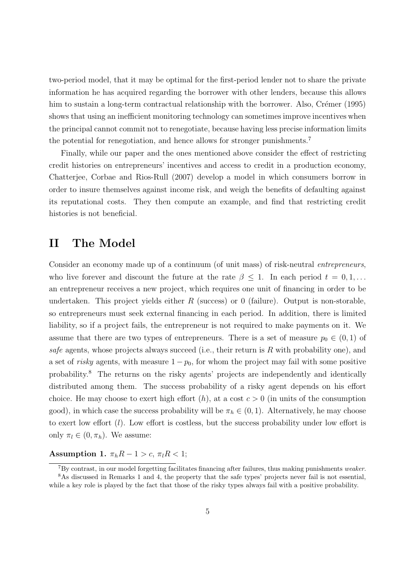two-period model, that it may be optimal for the first-period lender not to share the private information he has acquired regarding the borrower with other lenders, because this allows him to sustain a long-term contractual relationship with the borrower. Also, Crémer  $(1995)$ shows that using an inefficient monitoring technology can sometimes improve incentives when the principal cannot commit not to renegotiate, because having less precise information limits the potential for renegotiation, and hence allows for stronger punishments.<sup>7</sup>

Finally, while our paper and the ones mentioned above consider the effect of restricting credit histories on entrepreneurs' incentives and access to credit in a production economy, Chatterjee, Corbae and Rios-Rull (2007) develop a model in which consumers borrow in order to insure themselves against income risk, and weigh the benefits of defaulting against its reputational costs. They then compute an example, and find that restricting credit histories is not beneficial.

### **II The Model**

Consider an economy made up of a continuum (of unit mass) of risk-neutral *entrepreneurs*, who live forever and discount the future at the rate  $\beta \leq 1$ . In each period  $t = 0, 1, \ldots$ an entrepreneur receives a new project, which requires one unit of financing in order to be undertaken. This project yields either  $R$  (success) or 0 (failure). Output is non-storable, so entrepreneurs must seek external financing in each period. In addition, there is limited liability, so if a project fails, the entrepreneur is not required to make payments on it. We assume that there are two types of entrepreneurs. There is a set of measure  $p_0 \in (0,1)$  of safe agents, whose projects always succeed (i.e., their return is  $R$  with probability one), and a set of *risky* agents, with measure  $1 - p_0$ , for whom the project may fail with some positive probability.<sup>8</sup> The returns on the risky agents' projects are independently and identically distributed among them. The success probability of a risky agent depends on his effort choice. He may choose to exert high effort  $(h)$ , at a cost  $c > 0$  (in units of the consumption good), in which case the success probability will be  $\pi_h \in (0, 1)$ . Alternatively, he may choose to exert low effort  $(l)$ . Low effort is costless, but the success probability under low effort is only  $\pi_l \in (0, \pi_h)$ . We assume:

**Assumption 1.**  $\pi_h R - 1 > c$ ,  $\pi_l R < 1$ ;

 $7By$  contrast, in our model forgetting facilitates financing after failures, thus making punishments weaker. <sup>8</sup>As discussed in Remarks 1 and 4, the property that the safe types' projects never fail is not essential, while a key role is played by the fact that those of the risky types always fail with a positive probability.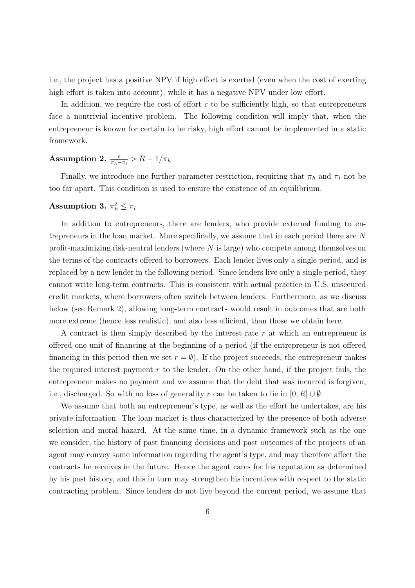i.e., the project has a positive NPV if high effort is exerted (even when the cost of exerting high effort is taken into account), while it has a negative NPV under low effort.

In addition, we require the cost of effort  $c$  to be sufficiently high, so that entrepreneurs face a nontrivial incentive problem. The following condition will imply that, when the entrepreneur is known for certain to be risky, high effort cannot be implemented in a static framework.

# Assumption 2.  $\frac{c}{\pi_h - \pi_l} > R - 1/\pi_h$

Finally, we introduce one further parameter restriction, requiring that  $\pi_h$  and  $\pi_l$  not be too far apart. This condition is used to ensure the existence of an equilibrium.

### $\textbf{Assumption 3. } \pi_h^2 \leq \pi_l$

In addition to entrepreneurs, there are lenders, who provide external funding to entrepreneurs in the loan market. More specifically, we assume that in each period there are N profit-maximizing risk-neutral lenders (where  $N$  is large) who compete among themselves on the terms of the contracts offered to borrowers. Each lender lives only a single period, and is replaced by a new lender in the following period. Since lenders live only a single period, they cannot write long-term contracts. This is consistent with actual practice in U.S. unsecured credit markets, where borrowers often switch between lenders. Furthermore, as we discuss below (see Remark 2), allowing long-term contracts would result in outcomes that are both more extreme (hence less realistic), and also less efficient, than those we obtain here.

A contract is then simply described by the interest rate  $r$  at which an entrepreneur is offered one unit of financing at the beginning of a period (if the entrepreneur is not offered financing in this period then we set  $r = \emptyset$ . If the project succeeds, the entrepreneur makes the required interest payment  $r$  to the lender. On the other hand, if the project fails, the entrepreneur makes no payment and we assume that the debt that was incurred is forgiven, i.e., discharged. So with no loss of generality r can be taken to lie in  $[0, R] \cup \emptyset$ .

We assume that both an entrepreneur's type, as well as the effort he undertakes, are his private information. The loan market is thus characterized by the presence of both adverse selection and moral hazard. At the same time, in a dynamic framework such as the one we consider, the history of past financing decisions and past outcomes of the projects of an agent may convey some information regarding the agent's type, and may therefore affect the contracts he receives in the future. Hence the agent cares for his reputation as determined by his past history, and this in turn may strengthen his incentives with respect to the static contracting problem. Since lenders do not live beyond the current period, we assume that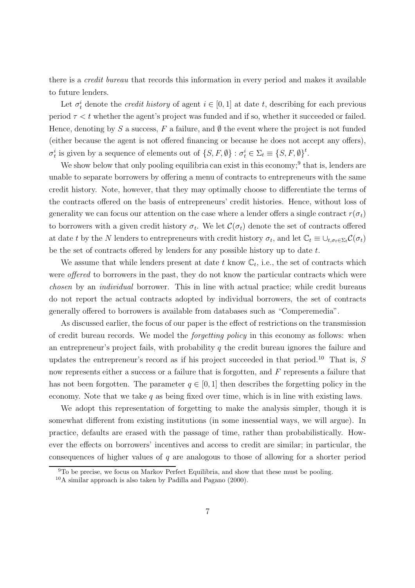there is a credit bureau that records this information in every period and makes it available to future lenders.

Let  $\sigma_t^i$  denote the *credit history* of agent  $i \in [0, 1]$  at date t, describing for each previous period  $\tau < t$  whether the agent's project was funded and if so, whether it succeeded or failed. Hence, denoting by S a success, F a failure, and  $\emptyset$  the event where the project is not funded (either because the agent is not offered financing or because he does not accept any offers),  $\sigma_t^i$  is given by a sequence of elements out of  $\{S, F, \emptyset\} : \sigma_t^i \in \Sigma_t \equiv \{S, F, \emptyset\}^t$ .

We show below that only pooling equilibria can exist in this economy;<sup>9</sup> that is, lenders are unable to separate borrowers by offering a menu of contracts to entrepreneurs with the same credit history. Note, however, that they may optimally choose to differentiate the terms of the contracts offered on the basis of entrepreneurs' credit histories. Hence, without loss of generality we can focus our attention on the case where a lender offers a single contract  $r(\sigma_t)$ to borrowers with a given credit history  $\sigma_t$ . We let  $\mathcal{C}(\sigma_t)$  denote the set of contracts offered at date t by the N lenders to entrepreneurs with credit history  $\sigma_t$ , and let  $\mathbb{C}_t \equiv \cup_{t,\sigma_t \in \Sigma_t} C(\sigma_t)$ be the set of contracts offered by lenders for any possible history up to date  $t$ .

We assume that while lenders present at date t know  $\mathbb{C}_t$ , i.e., the set of contracts which were offered to borrowers in the past, they do not know the particular contracts which were chosen by an individual borrower. This in line with actual practice; while credit bureaus do not report the actual contracts adopted by individual borrowers, the set of contracts generally offered to borrowers is available from databases such as "Comperemedia".

As discussed earlier, the focus of our paper is the effect of restrictions on the transmission of credit bureau records. We model the forgetting policy in this economy as follows: when an entrepreneur's project fails, with probability  $q$  the credit bureau ignores the failure and updates the entrepreneur's record as if his project succeeded in that period.<sup>10</sup> That is, S now represents either a success or a failure that is forgotten, and F represents a failure that has not been forgotten. The parameter  $q \in [0, 1]$  then describes the forgetting policy in the economy. Note that we take  $q$  as being fixed over time, which is in line with existing laws.

We adopt this representation of forgetting to make the analysis simpler, though it is somewhat different from existing institutions (in some inessential ways, we will argue). In practice, defaults are erased with the passage of time, rather than probabilistically. However the effects on borrowers' incentives and access to credit are similar; in particular, the consequences of higher values of  $q$  are analogous to those of allowing for a shorter period

<sup>9</sup>To be precise, we focus on Markov Perfect Equilibria, and show that these must be pooling.

 $10$ A similar approach is also taken by Padilla and Pagano (2000).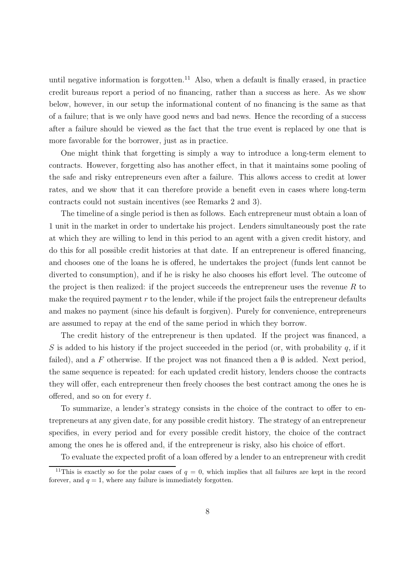until negative information is forgotten.<sup>11</sup> Also, when a default is finally erased, in practice credit bureaus report a period of no financing, rather than a success as here. As we show below, however, in our setup the informational content of no financing is the same as that of a failure; that is we only have good news and bad news. Hence the recording of a success after a failure should be viewed as the fact that the true event is replaced by one that is more favorable for the borrower, just as in practice.

One might think that forgetting is simply a way to introduce a long-term element to contracts. However, forgetting also has another effect, in that it maintains some pooling of the safe and risky entrepreneurs even after a failure. This allows access to credit at lower rates, and we show that it can therefore provide a benefit even in cases where long-term contracts could not sustain incentives (see Remarks 2 and 3).

The timeline of a single period is then as follows. Each entrepreneur must obtain a loan of 1 unit in the market in order to undertake his project. Lenders simultaneously post the rate at which they are willing to lend in this period to an agent with a given credit history, and do this for all possible credit histories at that date. If an entrepreneur is offered financing, and chooses one of the loans he is offered, he undertakes the project (funds lent cannot be diverted to consumption), and if he is risky he also chooses his effort level. The outcome of the project is then realized: if the project succeeds the entrepreneur uses the revenue  $R$  to make the required payment  $r$  to the lender, while if the project fails the entrepreneur defaults and makes no payment (since his default is forgiven). Purely for convenience, entrepreneurs are assumed to repay at the end of the same period in which they borrow.

The credit history of the entrepreneur is then updated. If the project was financed, a S is added to his history if the project succeeded in the period (or, with probability q, if it failed), and a F otherwise. If the project was not financed then a  $\emptyset$  is added. Next period, the same sequence is repeated: for each updated credit history, lenders choose the contracts they will offer, each entrepreneur then freely chooses the best contract among the ones he is offered, and so on for every  $t$ .

To summarize, a lender's strategy consists in the choice of the contract to offer to entrepreneurs at any given date, for any possible credit history. The strategy of an entrepreneur specifies, in every period and for every possible credit history, the choice of the contract among the ones he is offered and, if the entrepreneur is risky, also his choice of effort.

To evaluate the expected profit of a loan offered by a lender to an entrepreneur with credit

<sup>&</sup>lt;sup>11</sup>This is exactly so for the polar cases of  $q = 0$ , which implies that all failures are kept in the record forever, and  $q = 1$ , where any failure is immediately forgotten.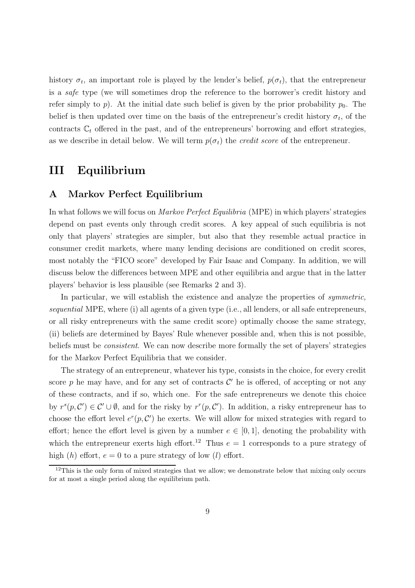history  $\sigma_t$ , an important role is played by the lender's belief,  $p(\sigma_t)$ , that the entrepreneur is a safe type (we will sometimes drop the reference to the borrower's credit history and refer simply to p). At the initial date such belief is given by the prior probability  $p_0$ . The belief is then updated over time on the basis of the entrepreneur's credit history  $\sigma_t$ , of the contracts  $\mathbb{C}_t$  offered in the past, and of the entrepreneurs' borrowing and effort strategies, as we describe in detail below. We will term  $p(\sigma_t)$  the *credit score* of the entrepreneur.

### **III Equilibrium**

### **A Markov Perfect Equilibrium**

In what follows we will focus on Markov Perfect Equilibria (MPE) in which players' strategies depend on past events only through credit scores. A key appeal of such equilibria is not only that players' strategies are simpler, but also that they resemble actual practice in consumer credit markets, where many lending decisions are conditioned on credit scores, most notably the "FICO score" developed by Fair Isaac and Company. In addition, we will discuss below the differences between MPE and other equilibria and argue that in the latter players' behavior is less plausible (see Remarks 2 and 3).

In particular, we will establish the existence and analyze the properties of *symmetric*, sequential MPE, where (i) all agents of a given type (i.e., all lenders, or all safe entrepreneurs, or all risky entrepreneurs with the same credit score) optimally choose the same strategy, (ii) beliefs are determined by Bayes' Rule whenever possible and, when this is not possible, beliefs must be consistent. We can now describe more formally the set of players' strategies for the Markov Perfect Equilibria that we consider.

The strategy of an entrepreneur, whatever his type, consists in the choice, for every credit score p he may have, and for any set of contracts  $\mathcal{C}'$  he is offered, of accepting or not any of these contracts, and if so, which one. For the safe entrepreneurs we denote this choice by  $r^{s}(p, C') \in C' \cup \emptyset$ , and for the risky by  $r^{r}(p, C')$ . In addition, a risky entrepreneur has to choose the effort level  $e^r(p, C')$  he exerts. We will allow for mixed strategies with regard to effort; hence the effort level is given by a number  $e \in [0,1]$ , denoting the probability with which the entrepreneur exerts high effort.<sup>12</sup> Thus  $e = 1$  corresponds to a pure strategy of high  $(h)$  effort,  $e = 0$  to a pure strategy of low  $(l)$  effort.

 $12$ This is the only form of mixed strategies that we allow; we demonstrate below that mixing only occurs for at most a single period along the equilibrium path.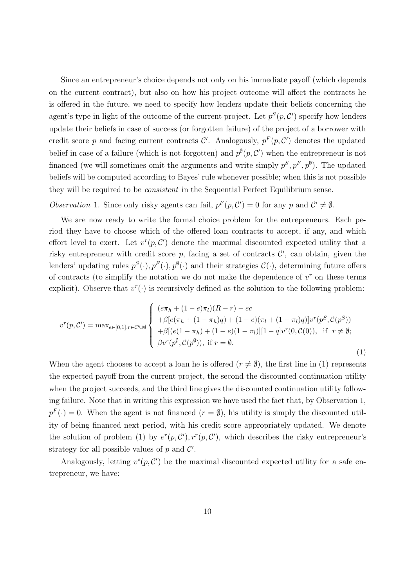Since an entrepreneur's choice depends not only on his immediate payoff (which depends on the current contract), but also on how his project outcome will affect the contracts he is offered in the future, we need to specify how lenders update their beliefs concerning the agent's type in light of the outcome of the current project. Let  $p^{S}(p, C')$  specify how lenders update their beliefs in case of success (or forgotten failure) of the project of a borrower with credit score p and facing current contracts  $\mathcal{C}'$ . Analogously,  $p^F(p, \mathcal{C}')$  denotes the updated belief in case of a failure (which is not forgotten) and  $p^{\emptyset}(p, C')$  when the entrepreneur is not financed (we will sometimes omit the arguments and write simply  $p^S, p^F, p^{\emptyset}$ ). The updated beliefs will be computed according to Bayes' rule whenever possible; when this is not possible they will be required to be consistent in the Sequential Perfect Equilibrium sense.

Observation 1. Since only risky agents can fail,  $p^F(p, C') = 0$  for any p and  $C' \neq \emptyset$ .

We are now ready to write the formal choice problem for the entrepreneurs. Each period they have to choose which of the offered loan contracts to accept, if any, and which effort level to exert. Let  $v^r(p, C')$  denote the maximal discounted expected utility that a risky entrepreneur with credit score  $p$ , facing a set of contracts  $\mathcal{C}'$ , can obtain, given the lenders' updating rules  $p^{S}(\cdot), p^{F}(\cdot), p^{\emptyset}(\cdot)$  and their strategies  $\mathcal{C}(\cdot)$ , determining future offers of contracts (to simplify the notation we do not make the dependence of  $v^r$  on these terms explicit). Observe that  $v^r(\cdot)$  is recursively defined as the solution to the following problem:

$$
v^{r}(p, C') = \max_{e \in [0,1], r \in C' \cup \emptyset} \begin{cases} (e\pi_{h} + (1-e)\pi_{l})(R-r) - ec \\ + \beta[e(\pi_{h} + (1-\pi_{h})q) + (1-e)(\pi_{l} + (1-\pi_{l})q)]v^{r}(p^{S}, C(p^{S})) \\ + \beta[(e(1-\pi_{h}) + (1-e)(1-\pi_{l})][1-q]v^{r}(0, C(0)), & \text{if } r \neq \emptyset; \\ \beta v^{r}(p^{\emptyset}, C(p^{\emptyset})), & \text{if } r = \emptyset. \end{cases}
$$
\n(1)

When the agent chooses to accept a loan he is offered  $(r \neq \emptyset)$ , the first line in (1) represents the expected payoff from the current project, the second the discounted continuation utility when the project succeeds, and the third line gives the discounted continuation utility following failure. Note that in writing this expression we have used the fact that, by Observation 1,  $p^F(\cdot) = 0$ . When the agent is not financed  $(r = \emptyset)$ , his utility is simply the discounted utility of being financed next period, with his credit score appropriately updated. We denote the solution of problem (1) by  $e^r(p, C'), r^r(p, C')$ , which describes the risky entrepreneur's strategy for all possible values of  $p$  and  $\mathcal{C}'$ .

Analogously, letting  $v^s(p, C')$  be the maximal discounted expected utility for a safe entrepreneur, we have: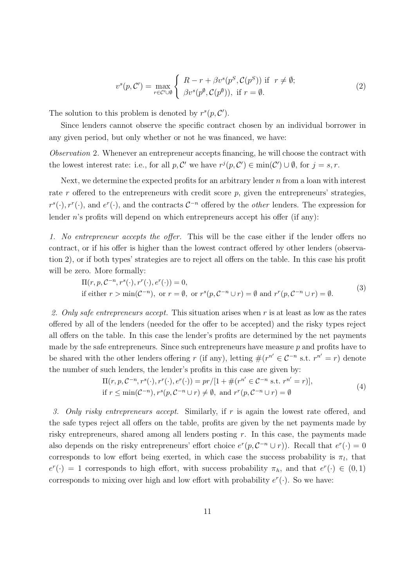$$
v^{s}(p, C') = \max_{r \in C' \cup \emptyset} \left\{ \begin{array}{l} R - r + \beta v^{s}(p^{S}, C(p^{S})) \text{ if } r \neq \emptyset; \\ \beta v^{s}(p^{\emptyset}, C(p^{\emptyset})), \text{ if } r = \emptyset. \end{array} \right.
$$
 (2)

The solution to this problem is denoted by  $r^{s}(p, C')$ .

Since lenders cannot observe the specific contract chosen by an individual borrower in any given period, but only whether or not he was financed, we have:

Observation 2. Whenever an entrepreneur accepts financing, he will choose the contract with the lowest interest rate: i.e., for all  $p, C'$  we have  $r^j(p, C') \in \min(C') \cup \emptyset$ , for  $j = s, r$ .

Next, we determine the expected profits for an arbitrary lender n from a loan with interest rate r offered to the entrepreneurs with credit score  $p$ , given the entrepreneurs' strategies,  $r^s(\cdot), r^r(\cdot)$ , and  $e^r(\cdot)$ , and the contracts  $C^{-n}$  offered by the *other* lenders. The expression for lender n's profits will depend on which entrepreneurs accept his offer (if any):

1. No entrepreneur accepts the offer. This will be the case either if the lender offers no contract, or if his offer is higher than the lowest contract offered by other lenders (observation 2), or if both types' strategies are to reject all offers on the table. In this case his profit will be zero. More formally:

$$
\Pi(r, p, \mathcal{C}^{-n}, r^s(\cdot), r^r(\cdot), e^r(\cdot)) = 0,
$$
  
if either  $r > \min(\mathcal{C}^{-n})$ , or  $r = \emptyset$ , or  $r^s(p, \mathcal{C}^{-n} \cup r) = \emptyset$  and  $r^r(p, \mathcal{C}^{-n} \cup r) = \emptyset$ . (3)

2. Only safe entrepreneurs accept. This situation arises when  $r$  is at least as low as the rates offered by all of the lenders (needed for the offer to be accepted) and the risky types reject all offers on the table. In this case the lender's profits are determined by the net payments made by the safe entrepreneurs. Since such entrepreneurs have measure  $p$  and profits have to be shared with the other lenders offering r (if any), letting  $\#(r^{n'} \in \mathcal{C}^{-n} \text{ s.t. } r^{n'} = r)$  denote the number of such lenders, the lender's profits in this case are given by:

$$
\Pi(r, p, \mathcal{C}^{-n}, r^s(\cdot), r^r(\cdot), e^r(\cdot)) = pr/[1 + \#(r^{n'} \in \mathcal{C}^{-n} \text{ s.t. } r^{n'} = r)],
$$
  
if  $r \le \min(\mathcal{C}^{-n}), r^s(p, \mathcal{C}^{-n} \cup r) \neq \emptyset$ , and  $r^r(p, \mathcal{C}^{-n} \cup r) = \emptyset$  (4)

3. Only risky entrepreneurs accept. Similarly, if r is again the lowest rate offered, and the safe types reject all offers on the table, profits are given by the net payments made by risky entrepreneurs, shared among all lenders posting  $r$ . In this case, the payments made also depends on the risky entrepreneurs' effort choice  $e^r(p, C^{-n} \cup r)$ ). Recall that  $e^r(\cdot)=0$ corresponds to low effort being exerted, in which case the success probability is  $\pi_l$ , that  $e^r(\cdot) = 1$  corresponds to high effort, with success probability  $\pi_h$ , and that  $e^r(\cdot) \in (0,1)$ corresponds to mixing over high and low effort with probability  $e^r(\cdot)$ . So we have: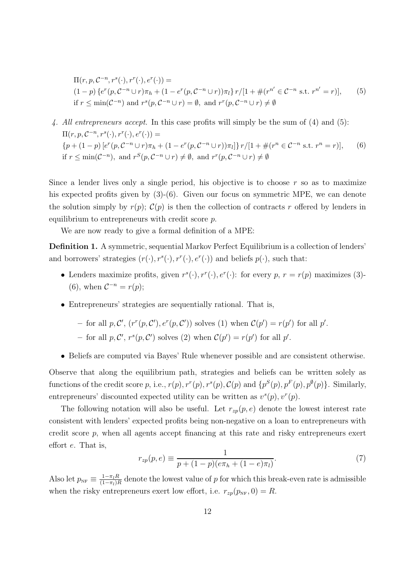$$
\Pi(r, p, \mathcal{C}^{-n}, r^s(\cdot), r^r(\cdot), e^r(\cdot)) =
$$
\n
$$
(1-p) \{ e^r(p, \mathcal{C}^{-n} \cup r)\pi_h + (1 - e^r(p, \mathcal{C}^{-n} \cup r))\pi_l \} \, r/[1 + \#(r^{n'} \in \mathcal{C}^{-n} \text{ s.t. } r^{n'} = r)],
$$
\n
$$
\text{if } r \le \min(\mathcal{C}^{-n}) \text{ and } r^s(p, \mathcal{C}^{-n} \cup r) = \emptyset, \text{ and } r^r(p, \mathcal{C}^{-n} \cup r) \ne \emptyset
$$
\n
$$
(5)
$$

4. All entrepreneurs accept. In this case profits will simply be the sum of (4) and (5):  $\Pi(r, p, \mathcal{C}^{-n}, r^s(\cdot), r^r(\cdot), e^r(\cdot)) =$  ${p + (1 - p) [e^r(p, C^{-n} \cup r)\pi_h + (1 - e^r(p, C^{-n} \cup r))\pi_l]} \ r/[1 + \#(r^n \in C^{-n} \text{ s.t. } r^n = r)],$ if  $r \leq \min(\mathcal{C}^{-n})$ , and  $r^S(p, \mathcal{C}^{-n} \cup r) \neq \emptyset$ , and  $r^r(p, \mathcal{C}^{-n} \cup r) \neq \emptyset$ (6)

Since a lender lives only a single period, his objective is to choose  $r$  so as to maximize his expected profits given by  $(3)-(6)$ . Given our focus on symmetric MPE, we can denote the solution simply by  $r(p)$ ;  $C(p)$  is then the collection of contracts r offered by lenders in equilibrium to entrepreneurs with credit score p.

We are now ready to give a formal definition of a MPE:

**Definition 1.** A symmetric, sequential Markov Perfect Equilibrium is a collection of lenders' and borrowers' strategies  $(r(\cdot), r^s(\cdot), r^r(\cdot), e^r(\cdot))$  and beliefs  $p(\cdot)$ , such that:

- Lenders maximize profits, given  $r^{s}(\cdot), r^{r}(\cdot), e^{r}(\cdot)$ : for every  $p, r = r(p)$  maximizes (3)-(6), when  $\mathcal{C}^{-n} = r(p);$
- Entrepreneurs' strategies are sequentially rational. That is,

- for all p, C', 
$$
(r^r(p, C'), e^r(p, C'))
$$
 solves (1) when  $C(p') = r(p')$  for all p'.

- for all  $p, C', r<sup>s</sup>(p, C')$  solves (2) when  $C(p') = r(p')$  for all p'.
- Beliefs are computed via Bayes' Rule whenever possible and are consistent otherwise.

Observe that along the equilibrium path, strategies and beliefs can be written solely as functions of the credit score p, i.e.,  $r(p), r^r(p), r^s(p), \mathcal{C}(p)$  and  $\{p^S(p), p^F(p), p^{\emptyset}(p)\}\$ . Similarly, entrepreneurs' discounted expected utility can be written as  $v<sup>s</sup>(p)$ ,  $v<sup>r</sup>(p)$ .

The following notation will also be useful. Let  $r_{zp}(p, e)$  denote the lowest interest rate consistent with lenders' expected profits being non-negative on a loan to entrepreneurs with credit score p, when all agents accept financing at this rate and risky entrepreneurs exert effort e. That is,

$$
r_{zp}(p,e) \equiv \frac{1}{p + (1 - p)(e\pi_h + (1 - e)\pi_l)}.\tag{7}
$$

Also let  $p_{NF} \equiv \frac{1-\pi_l R}{(1-\pi_l)R}$  denote the lowest value of p for which this break-even rate is admissible when the risky entrepreneurs exert low effort, i.e.  $r_{zp}(p_{NF}, 0) = R$ .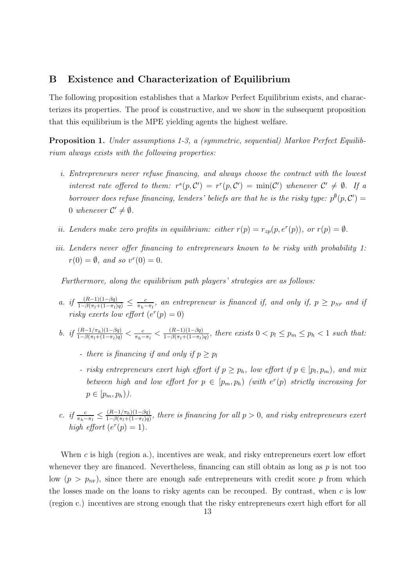### **B Existence and Characterization of Equilibrium**

The following proposition establishes that a Markov Perfect Equilibrium exists, and characterizes its properties. The proof is constructive, and we show in the subsequent proposition that this equilibrium is the MPE yielding agents the highest welfare.

**Proposition 1.** Under assumptions 1-3, a (symmetric, sequential) Markov Perfect Equilibrium always exists with the following properties:

- i. Entrepreneurs never refuse financing, and always choose the contract with the lowest interest rate offered to them:  $r^{s}(p, C') = r^{r}(p, C') = \min(C')$  whenever  $C' \neq \emptyset$ . If a borrower does refuse financing, lenders' beliefs are that he is the risky type:  $p^{\emptyset}(p, C') =$ 0 whenever  $C' \neq \emptyset$ .
- ii. Lenders make zero profits in equilibrium: either  $r(p) = r_{zp}(p, e^r(p))$ , or  $r(p) = \emptyset$ .
- iii. Lenders never offer financing to entrepreneurs known to be risky with probability 1:  $r(0) = \emptyset$ , and so  $v^r(0) = 0$ .

Furthermore, along the equilibrium path players' strategies are as follows:

- a. if  $\frac{(R-1)(1-\beta q)}{1-\beta(\pi_l+(1-\pi_l)q)} \leq \frac{c}{\pi_h-\pi_l}$ , an entrepreneur is financed if, and only if,  $p \geq p_{NF}$  and if risky exerts low effort  $(e^r(p) = 0)$
- b. if  $\frac{(R-1/\pi_h)(1-\beta q)}{1-\beta(\pi_l+(1-\pi_l)q)} < \frac{c}{\pi_h-\pi_l} < \frac{(R-1)(1-\beta q)}{1-\beta(\pi_l+(1-\pi_l)q)}$ , there exists  $0 < p_l \leq p_m \leq p_h < 1$  such that:
	- there is financing if and only if  $p > p_l$
	- risky entrepreneurs exert high effort if  $p \geq p_h$ , low effort if  $p \in [p_l, p_m)$ , and mix between high and low effort for  $p \in [p_m, p_h)$  (with  $e^r(p)$  strictly increasing for  $p \in [p_m, p_h)$ ).
- c. if  $\frac{c}{\pi_h-\pi_l} \leq \frac{(R-1/\pi_h)(1-\beta q)}{1-\beta(\pi_l+(1-\pi_l)q)}$ , there is financing for all  $p > 0$ , and risky entrepreneurs exert high effort  $(e^r(p) = 1)$ .

When  $c$  is high (region a.), incentives are weak, and risky entrepreneurs exert low effort whenever they are financed. Nevertheless, financing can still obtain as long as  $p$  is not too low  $(p>p_{NF})$ , since there are enough safe entrepreneurs with credit score p from which the losses made on the loans to risky agents can be recouped. By contrast, when  $c$  is low (region c.) incentives are strong enough that the risky entrepreneurs exert high effort for all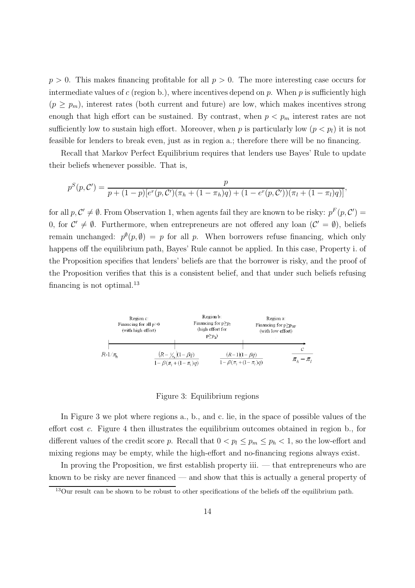$p > 0$ . This makes financing profitable for all  $p > 0$ . The more interesting case occurs for intermediate values of  $c$  (region b.), where incentives depend on  $p$ . When  $p$  is sufficiently high  $(p \geq p_m)$ , interest rates (both current and future) are low, which makes incentives strong enough that high effort can be sustained. By contrast, when  $p < p_m$  interest rates are not sufficiently low to sustain high effort. Moreover, when p is particularly low  $(p < p<sub>l</sub>)$  it is not feasible for lenders to break even, just as in region a.; therefore there will be no financing.

Recall that Markov Perfect Equilibrium requires that lenders use Bayes' Rule to update their beliefs whenever possible. That is,

$$
p^{S}(p, C') = \frac{p}{p + (1-p)[e^{r}(p, C')(\pi_h + (1 - \pi_h)q) + (1 - e^{r}(p, C'))(\pi_l + (1 - \pi_l)q)]},
$$

for all  $p, C' \neq \emptyset$ . From Observation 1, when agents fail they are known to be risky:  $p^F(p, C') =$ 0, for  $\mathcal{C}' \neq \emptyset$ . Furthermore, when entrepreneurs are not offered any loan  $(\mathcal{C}' = \emptyset)$ , beliefs remain unchanged:  $p^{\emptyset}(p,\emptyset) = p$  for all p. When borrowers refuse financing, which only happens off the equilibrium path, Bayes' Rule cannot be applied. In this case, Property i. of the Proposition specifies that lenders' beliefs are that the borrower is risky, and the proof of the Proposition verifies that this is a consistent belief, and that under such beliefs refusing financing is not optimal.<sup>13</sup>



Figure 3: Equilibrium regions

In Figure 3 we plot where regions a., b., and c. lie, in the space of possible values of the effort cost c. Figure 4 then illustrates the equilibrium outcomes obtained in region b., for different values of the credit score p. Recall that  $0 < p_l \le p_m \le p_h < 1$ , so the low-effort and mixing regions may be empty, while the high-effort and no-financing regions always exist.

In proving the Proposition, we first establish property iii. — that entrepreneurs who are known to be risky are never financed — and show that this is actually a general property of

<sup>&</sup>lt;sup>13</sup>Our result can be shown to be robust to other specifications of the beliefs off the equilibrium path.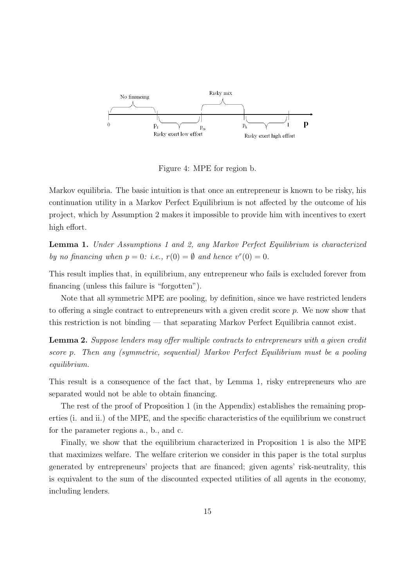

Figure 4: MPE for region b.

Markov equilibria. The basic intuition is that once an entrepreneur is known to be risky, his continuation utility in a Markov Perfect Equilibrium is not affected by the outcome of his project, which by Assumption 2 makes it impossible to provide him with incentives to exert high effort.

**Lemma 1.** Under Assumptions 1 and 2, any Markov Perfect Equilibrium is characterized by no financing when  $p = 0$ : i.e.,  $r(0) = \emptyset$  and hence  $v^r(0) = 0$ .

This result implies that, in equilibrium, any entrepreneur who fails is excluded forever from financing (unless this failure is "forgotten").

Note that all symmetric MPE are pooling, by definition, since we have restricted lenders to offering a single contract to entrepreneurs with a given credit score p. We now show that this restriction is not binding — that separating Markov Perfect Equilibria cannot exist.

**Lemma 2.** Suppose lenders may offer multiple contracts to entrepreneurs with a given credit score p. Then any (symmetric, sequential) Markov Perfect Equilibrium must be a pooling equilibrium.

This result is a consequence of the fact that, by Lemma 1, risky entrepreneurs who are separated would not be able to obtain financing.

The rest of the proof of Proposition 1 (in the Appendix) establishes the remaining properties (i. and ii.) of the MPE, and the specific characteristics of the equilibrium we construct for the parameter regions a., b., and c.

Finally, we show that the equilibrium characterized in Proposition 1 is also the MPE that maximizes welfare. The welfare criterion we consider in this paper is the total surplus generated by entrepreneurs' projects that are financed; given agents' risk-neutrality, this is equivalent to the sum of the discounted expected utilities of all agents in the economy, including lenders.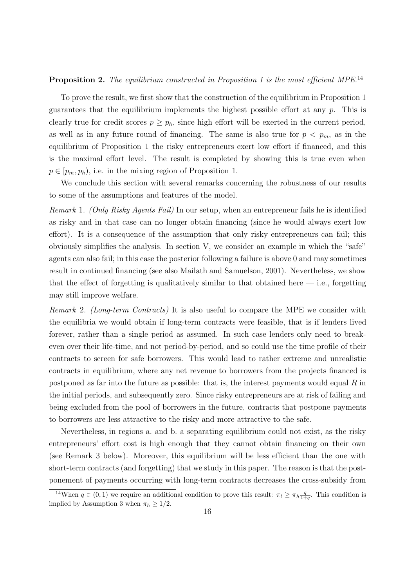#### **Proposition 2.** The equilibrium constructed in Proposition 1 is the most efficient MPE.<sup>14</sup>

To prove the result, we first show that the construction of the equilibrium in Proposition 1 guarantees that the equilibrium implements the highest possible effort at any  $p$ . This is clearly true for credit scores  $p \geq p_h$ , since high effort will be exerted in the current period, as well as in any future round of financing. The same is also true for  $p < p_m$ , as in the equilibrium of Proposition 1 the risky entrepreneurs exert low effort if financed, and this is the maximal effort level. The result is completed by showing this is true even when  $p \in [p_m, p_h)$ , i.e. in the mixing region of Proposition 1.

We conclude this section with several remarks concerning the robustness of our results to some of the assumptions and features of the model.

Remark 1. (Only Risky Agents Fail) In our setup, when an entrepreneur fails he is identified as risky and in that case can no longer obtain financing (since he would always exert low effort). It is a consequence of the assumption that only risky entrepreneurs can fail; this obviously simplifies the analysis. In section V, we consider an example in which the "safe" agents can also fail; in this case the posterior following a failure is above 0 and may sometimes result in continued financing (see also Mailath and Samuelson, 2001). Nevertheless, we show that the effect of forgetting is qualitatively similar to that obtained here  $-$  i.e., forgetting may still improve welfare.

Remark 2. (Long-term Contracts) It is also useful to compare the MPE we consider with the equilibria we would obtain if long-term contracts were feasible, that is if lenders lived forever, rather than a single period as assumed. In such case lenders only need to breakeven over their life-time, and not period-by-period, and so could use the time profile of their contracts to screen for safe borrowers. This would lead to rather extreme and unrealistic contracts in equilibrium, where any net revenue to borrowers from the projects financed is postponed as far into the future as possible: that is, the interest payments would equal  $R$  in the initial periods, and subsequently zero. Since risky entrepreneurs are at risk of failing and being excluded from the pool of borrowers in the future, contracts that postpone payments to borrowers are less attractive to the risky and more attractive to the safe.

Nevertheless, in regions a. and b. a separating equilibrium could not exist, as the risky entrepreneurs' effort cost is high enough that they cannot obtain financing on their own (see Remark 3 below). Moreover, this equilibrium will be less efficient than the one with short-term contracts (and forgetting) that we study in this paper. The reason is that the postponement of payments occurring with long-term contracts decreases the cross-subsidy from

<sup>&</sup>lt;sup>14</sup>When  $q \in (0,1)$  we require an additional condition to prove this result:  $\pi_l \geq \pi_h \frac{q}{1+q}$ . This condition is implied by Assumption 3 when  $\pi_h \geq 1/2$ .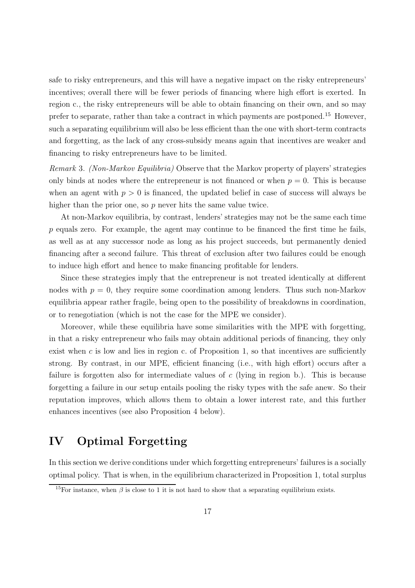safe to risky entrepreneurs, and this will have a negative impact on the risky entrepreneurs' incentives; overall there will be fewer periods of financing where high effort is exerted. In region c., the risky entrepreneurs will be able to obtain financing on their own, and so may prefer to separate, rather than take a contract in which payments are postponed.<sup>15</sup> However, such a separating equilibrium will also be less efficient than the one with short-term contracts and forgetting, as the lack of any cross-subsidy means again that incentives are weaker and financing to risky entrepreneurs have to be limited.

Remark 3. (Non-Markov Equilibria) Observe that the Markov property of players' strategies only binds at nodes where the entrepreneur is not financed or when  $p = 0$ . This is because when an agent with  $p > 0$  is financed, the updated belief in case of success will always be higher than the prior one, so p never hits the same value twice.

At non-Markov equilibria, by contrast, lenders' strategies may not be the same each time p equals zero. For example, the agent may continue to be financed the first time he fails, as well as at any successor node as long as his project succeeds, but permanently denied financing after a second failure. This threat of exclusion after two failures could be enough to induce high effort and hence to make financing profitable for lenders.

Since these strategies imply that the entrepreneur is not treated identically at different nodes with  $p = 0$ , they require some coordination among lenders. Thus such non-Markov equilibria appear rather fragile, being open to the possibility of breakdowns in coordination, or to renegotiation (which is not the case for the MPE we consider).

Moreover, while these equilibria have some similarities with the MPE with forgetting, in that a risky entrepreneur who fails may obtain additional periods of financing, they only exist when  $c$  is low and lies in region c. of Proposition 1, so that incentives are sufficiently strong. By contrast, in our MPE, efficient financing (i.e., with high effort) occurs after a failure is forgotten also for intermediate values of c (lying in region b.). This is because forgetting a failure in our setup entails pooling the risky types with the safe anew. So their reputation improves, which allows them to obtain a lower interest rate, and this further enhances incentives (see also Proposition 4 below).

### **IV Optimal Forgetting**

In this section we derive conditions under which forgetting entrepreneurs' failures is a socially optimal policy. That is when, in the equilibrium characterized in Proposition 1, total surplus

<sup>&</sup>lt;sup>15</sup>For instance, when  $\beta$  is close to 1 it is not hard to show that a separating equilibrium exists.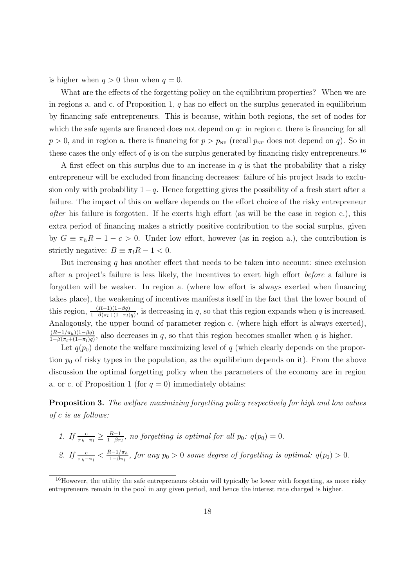is higher when  $q > 0$  than when  $q = 0$ .

What are the effects of the forgetting policy on the equilibrium properties? When we are in regions a. and c. of Proposition 1,  $q$  has no effect on the surplus generated in equilibrium by financing safe entrepreneurs. This is because, within both regions, the set of nodes for which the safe agents are financed does not depend on  $q$ : in region c. there is financing for all  $p > 0$ , and in region a. there is financing for  $p > p_{\text{NF}}$  (recall  $p_{\text{NF}}$  does not depend on q). So in these cases the only effect of q is on the surplus generated by financing risky entrepreneurs.<sup>16</sup>

A first effect on this surplus due to an increase in q is that the probability that a risky entrepreneur will be excluded from financing decreases: failure of his project leads to exclusion only with probability  $1-q$ . Hence forgetting gives the possibility of a fresh start after a failure. The impact of this on welfare depends on the effort choice of the risky entrepreneur after his failure is forgotten. If he exerts high effort (as will be the case in region c.), this extra period of financing makes a strictly positive contribution to the social surplus, given by  $G \equiv \pi_h R - 1 - c > 0$ . Under low effort, however (as in region a.), the contribution is strictly negative:  $B \equiv \pi_l R - 1 < 0$ .

But increasing  $q$  has another effect that needs to be taken into account: since exclusion after a project's failure is less likely, the incentives to exert high effort before a failure is forgotten will be weaker. In region a. (where low effort is always exerted when financing takes place), the weakening of incentives manifests itself in the fact that the lower bound of this region,  $\frac{(R-1)(1-\beta q)}{1-\beta(\pi_l+(1-\pi_l)q)}$ , is decreasing in q, so that this region expands when q is increased. Analogously, the upper bound of parameter region c. (where high effort is always exerted),  $\frac{(R-1/\pi_h)(1-\beta q)}{h}$  $\frac{(R-1/\pi_h)(1-\beta q)}{1-\beta(\pi_l+(1-\pi_l)q)}$ , also decreases in q, so that this region becomes smaller when q is higher.

Let  $q(p_0)$  denote the welfare maximizing level of q (which clearly depends on the proportion  $p_0$  of risky types in the population, as the equilibrium depends on it). From the above discussion the optimal forgetting policy when the parameters of the economy are in region a. or c. of Proposition 1 (for  $q = 0$ ) immediately obtains:

**Proposition 3.** The welfare maximizing forgetting policy respectively for high and low values of c is as follows:

\n- 1. If 
$$
\frac{c}{\pi_h - \pi_l} \geq \frac{R-1}{1-\beta\pi_l}
$$
, no forgetting is optimal for all  $p_0$ :  $q(p_0) = 0$ .
\n- 2. If  $\frac{c}{\pi_h - \pi_l} < \frac{R-1/\pi_h}{1-\beta\pi_l}$ , for any  $p_0 > 0$  some degree of forgetting is optimal:  $q(p_0) > 0$ .
\n

<sup>&</sup>lt;sup>16</sup>However, the utility the safe entrepreneurs obtain will typically be lower with forgetting, as more risky entrepreneurs remain in the pool in any given period, and hence the interest rate charged is higher.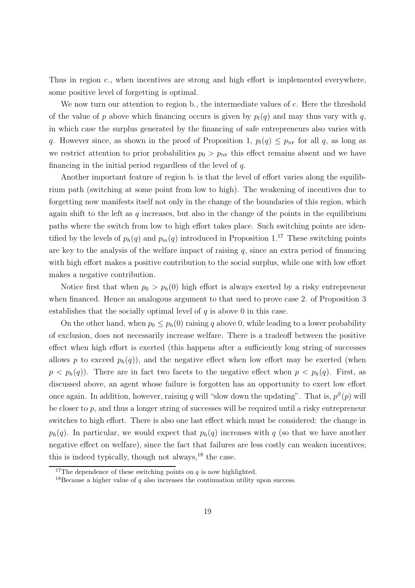Thus in region c., when incentives are strong and high effort is implemented everywhere, some positive level of forgetting is optimal.

We now turn our attention to region b., the intermediate values of c. Here the threshold of the value of p above which financing occurs is given by  $p_l(q)$  and may thus vary with q, in which case the surplus generated by the financing of safe entrepreneurs also varies with q. However since, as shown in the proof of Proposition 1,  $p_l(q) \leq p_{NF}$  for all q, as long as we restrict attention to prior probabilities  $p_0 > p_{NF}$  this effect remains absent and we have financing in the initial period regardless of the level of  $q$ .

Another important feature of region b. is that the level of effort varies along the equilibrium path (switching at some point from low to high). The weakening of incentives due to forgetting now manifests itself not only in the change of the boundaries of this region, which again shift to the left as  $q$  increases, but also in the change of the points in the equilibrium paths where the switch from low to high effort takes place. Such switching points are identified by the levels of  $p_h(q)$  and  $p_m(q)$  introduced in Proposition 1.<sup>17</sup> These switching points are key to the analysis of the welfare impact of raising  $q$ , since an extra period of financing with high effort makes a positive contribution to the social surplus, while one with low effort makes a negative contribution.

Notice first that when  $p_0 > p_h(0)$  high effort is always exerted by a risky entrepreneur when financed. Hence an analogous argument to that used to prove case 2. of Proposition 3 establishes that the socially optimal level of  $q$  is above 0 in this case.

On the other hand, when  $p_0 \leq p_h(0)$  raising q above 0, while leading to a lower probability of exclusion, does not necessarily increase welfare. There is a tradeoff between the positive effect when high effort is exerted (this happens after a sufficiently long string of successes allows p to exceed  $p_h(q)$ ), and the negative effect when low effort may be exerted (when  $p < p_h(q)$ ). There are in fact two facets to the negative effect when  $p < p_h(q)$ . First, as discussed above, an agent whose failure is forgotten has an opportunity to exert low effort once again. In addition, however, raising q will "slow down the updating". That is,  $p^{S}(p)$  will be closer to  $p$ , and thus a longer string of successes will be required until a risky entrepreneur switches to high effort. There is also one last effect which must be considered: the change in  $p_h(q)$ . In particular, we would expect that  $p_h(q)$  increases with q (so that we have another negative effect on welfare), since the fact that failures are less costly can weaken incentives; this is indeed typically, though not always, $^{18}$  the case.

<sup>&</sup>lt;sup>17</sup>The dependence of these switching points on q is now highlighted.

<sup>&</sup>lt;sup>18</sup>Because a higher value of q also increases the continuation utility upon success.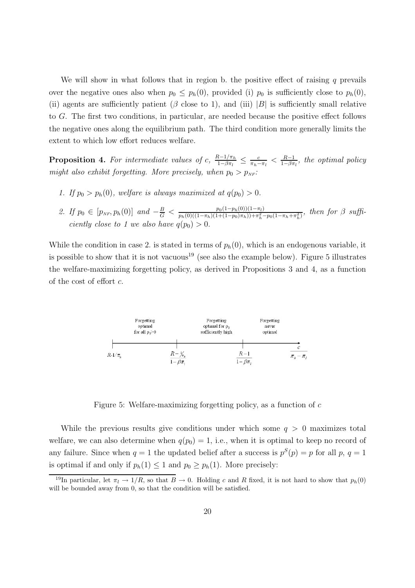We will show in what follows that in region b. the positive effect of raising  $q$  prevails over the negative ones also when  $p_0 \leq p_h(0)$ , provided (i)  $p_0$  is sufficiently close to  $p_h(0)$ , (ii) agents are sufficiently patient ( $\beta$  close to 1), and (iii)  $|B|$  is sufficiently small relative to G. The first two conditions, in particular, are needed because the positive effect follows the negative ones along the equilibrium path. The third condition more generally limits the extent to which low effort reduces welfare.

**Proposition 4.** For intermediate values of c,  $\frac{R-1/\pi_h}{1-\beta\pi_l} \leq \frac{c}{\pi_h-\pi_l} < \frac{R-1}{1-\beta\pi_l}$ , the optimal policy might also exhibit forgetting. More precisely, when  $p_0 > p_{NF}$ :

- 1. If  $p_0 > p_h(0)$ , welfare is always maximized at  $q(p_0) > 0$ .
- 2. If  $p_0 \in [p_{NF}, p_h(0)]$  and  $-\frac{B}{G} < \frac{p_0(1-p_h(0))(1-\pi_l)}{p_h(0)((1-\pi_h)(1+(1-p_0)\pi_h))+\pi_h^2-p_0(1-\pi_h+\pi_h^2)}$ , then for  $\beta$  sufficiently close to 1 we also have  $q(p_0) > 0$ .

While the condition in case 2. is stated in terms of  $p_h(0)$ , which is an endogenous variable, it is possible to show that it is not vacuous<sup>19</sup> (see also the example below). Figure 5 illustrates the welfare-maximizing forgetting policy, as derived in Propositions 3 and 4, as a function of the cost of effort c.



Figure 5: Welfare-maximizing forgetting policy, as a function of c

While the previous results give conditions under which some  $q > 0$  maximizes total welfare, we can also determine when  $q(p_0) = 1$ , i.e., when it is optimal to keep no record of any failure. Since when  $q = 1$  the updated belief after a success is  $p^{S}(p) = p$  for all p,  $q = 1$ is optimal if and only if  $p_h(1) \leq 1$  and  $p_0 \geq p_h(1)$ . More precisely:

<sup>&</sup>lt;sup>19</sup>In particular, let  $\pi_l \to 1/R$ , so that  $B \to 0$ . Holding c and R fixed, it is not hard to show that  $p_h(0)$ will be bounded away from 0, so that the condition will be satisfied.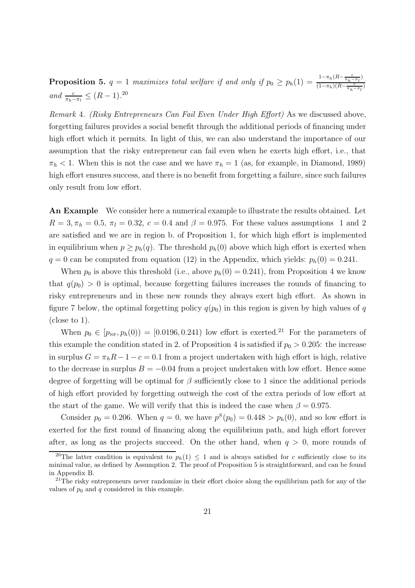**Proposition 5.**  $q = 1$  maximizes total welfare if and only if  $p_0 \ge p_h(1) = \frac{1 - \pi_h(R - \frac{c}{\pi_h - \pi_l})}{(1 - \pi_h)(R - \frac{c}{\pi_l - \pi_l})}$  $(1-\pi_h)(R-\frac{c}{\pi_h-\pi_l})$ and  $\frac{c}{\pi_h - \pi_l} \leq (R - 1).^{20}$ 

Remark 4. (Risky Entrepreneurs Can Fail Even Under High Effort) As we discussed above, forgetting failures provides a social benefit through the additional periods of financing under high effort which it permits. In light of this, we can also understand the importance of our assumption that the risky entrepreneur can fail even when he exerts high effort, i.e., that  $\pi_h$  < 1. When this is not the case and we have  $\pi_h = 1$  (as, for example, in Diamond, 1989) high effort ensures success, and there is no benefit from forgetting a failure, since such failures only result from low effort.

**An Example** We consider here a numerical example to illustrate the results obtained. Let  $R = 3, \pi_h = 0.5, \pi_l = 0.32, c = 0.4$  and  $\beta = 0.975$ . For these values assumptions 1 and 2 are satisfied and we are in region b. of Proposition 1, for which high effort is implemented in equilibrium when  $p \geq p_h(q)$ . The threshold  $p_h(0)$  above which high effort is exerted when  $q = 0$  can be computed from equation (12) in the Appendix, which yields:  $p_h(0) = 0.241$ .

When  $p_0$  is above this threshold (i.e., above  $p_h(0) = 0.241$ ), from Proposition 4 we know that  $q(p_0) > 0$  is optimal, because forgetting failures increases the rounds of financing to risky entrepreneurs and in these new rounds they always exert high effort. As shown in figure 7 below, the optimal forgetting policy  $q(p_0)$  in this region is given by high values of q (close to 1).

When  $p_0 \in [p_{NF}, p_h(0)) = [0.0196, 0.241)$  low effort is exerted.<sup>21</sup> For the parameters of this example the condition stated in 2. of Proposition 4 is satisfied if  $p_0 > 0.205$ : the increase in surplus  $G = \pi_h R - 1 - c = 0.1$  from a project undertaken with high effort is high, relative to the decrease in surplus  $B = -0.04$  from a project undertaken with low effort. Hence some degree of forgetting will be optimal for  $\beta$  sufficiently close to 1 since the additional periods of high effort provided by forgetting outweigh the cost of the extra periods of low effort at the start of the game. We will verify that this is indeed the case when  $\beta = 0.975$ .

Consider  $p_0 = 0.206$ . When  $q = 0$ , we have  $p^{S}(p_0) = 0.448 > p_h(0)$ , and so low effort is exerted for the first round of financing along the equilibrium path, and high effort forever after, as long as the projects succeed. On the other hand, when  $q > 0$ , more rounds of

<sup>&</sup>lt;sup>20</sup>The latter condition is equivalent to  $p_h(1) \leq 1$  and is always satisfied for c sufficiently close to its minimal value, as defined by Assumption 2. The proof of Proposition 5 is straightforward, and can be found in Appendix B.

<sup>&</sup>lt;sup>21</sup>The risky entrepreneurs never randomize in their effort choice along the equilibrium path for any of the values of  $p_0$  and q considered in this example.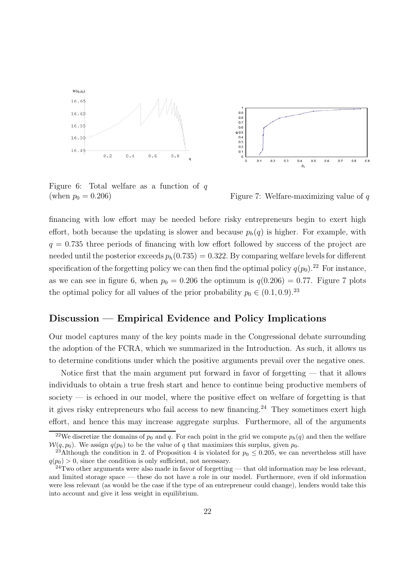

Figure 6: Total welfare as a function of  $q$ (when  $p_0 = 0.206$ ) Figure 7: Welfare-maximizing value of q



financing with low effort may be needed before risky entrepreneurs begin to exert high effort, both because the updating is slower and because  $p_h(q)$  is higher. For example, with  $q = 0.735$  three periods of financing with low effort followed by success of the project are needed until the posterior exceeds  $p_h(0.735) = 0.322$ . By comparing welfare levels for different specification of the forgetting policy we can then find the optimal policy  $q(p_0)$ .<sup>22</sup> For instance, as we can see in figure 6, when  $p_0 = 0.206$  the optimum is  $q(0.206) = 0.77$ . Figure 7 plots the optimal policy for all values of the prior probability  $p_0 \in (0.1, 0.9)$ .<sup>23</sup>

### **Discussion — Empirical Evidence and Policy Implications**

Our model captures many of the key points made in the Congressional debate surrounding the adoption of the FCRA, which we summarized in the Introduction. As such, it allows us to determine conditions under which the positive arguments prevail over the negative ones.

Notice first that the main argument put forward in favor of forgetting — that it allows individuals to obtain a true fresh start and hence to continue being productive members of society — is echoed in our model, where the positive effect on welfare of forgetting is that it gives risky entrepreneurs who fail access to new financing.<sup>24</sup> They sometimes exert high effort, and hence this may increase aggregate surplus. Furthermore, all of the arguments

<sup>&</sup>lt;sup>22</sup>We discretize the domains of  $p_0$  and q. For each point in the grid we compute  $p_h(q)$  and then the welfare  $W(q, p_0)$ . We assign  $q(p_0)$  to be the value of q that maximizes this surplus, given  $p_0$ .<br><sup>23</sup>Although the condition in 2. of Proposition 4 is violated for  $p_0 \le 0.205$ , we can nevertheless still have

 $q(p_0) > 0$ , since the condition is only sufficient, not necessary.

 $^{24}$ Two other arguments were also made in favor of forgetting — that old information may be less relevant, and limited storage space — these do not have a role in our model. Furthermore, even if old information were less relevant (as would be the case if the type of an entrepreneur could change), lenders would take this into account and give it less weight in equilibrium.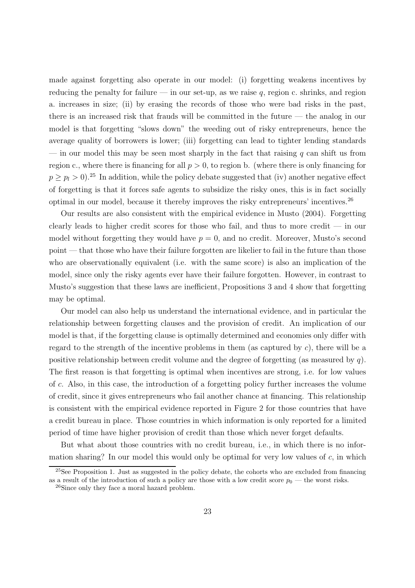made against forgetting also operate in our model: (i) forgetting weakens incentives by reducing the penalty for failure — in our set-up, as we raise  $q$ , region c. shrinks, and region a. increases in size; (ii) by erasing the records of those who were bad risks in the past, there is an increased risk that frauds will be committed in the future — the analog in our model is that forgetting "slows down" the weeding out of risky entrepreneurs, hence the average quality of borrowers is lower; (iii) forgetting can lead to tighter lending standards — in our model this may be seen most sharply in the fact that raising  $q$  can shift us from region c., where there is financing for all  $p > 0$ , to region b. (where there is only financing for  $p \ge p_l > 0$ .<sup>25</sup> In addition, while the policy debate suggested that (iv) another negative effect of forgetting is that it forces safe agents to subsidize the risky ones, this is in fact socially optimal in our model, because it thereby improves the risky entrepreneurs' incentives.<sup>26</sup>

Our results are also consistent with the empirical evidence in Musto (2004). Forgetting clearly leads to higher credit scores for those who fail, and thus to more credit — in our model without forgetting they would have  $p = 0$ , and no credit. Moreover, Musto's second point — that those who have their failure forgotten are likelier to fail in the future than those who are observationally equivalent (i.e. with the same score) is also an implication of the model, since only the risky agents ever have their failure forgotten. However, in contrast to Musto's suggestion that these laws are inefficient, Propositions 3 and 4 show that forgetting may be optimal.

Our model can also help us understand the international evidence, and in particular the relationship between forgetting clauses and the provision of credit. An implication of our model is that, if the forgetting clause is optimally determined and economies only differ with regard to the strength of the incentive problems in them (as captured by  $c$ ), there will be a positive relationship between credit volume and the degree of forgetting (as measured by  $q$ ). The first reason is that forgetting is optimal when incentives are strong, i.e. for low values of c. Also, in this case, the introduction of a forgetting policy further increases the volume of credit, since it gives entrepreneurs who fail another chance at financing. This relationship is consistent with the empirical evidence reported in Figure 2 for those countries that have a credit bureau in place. Those countries in which information is only reported for a limited period of time have higher provision of credit than those which never forget defaults.

But what about those countries with no credit bureau, i.e., in which there is no information sharing? In our model this would only be optimal for very low values of  $c$ , in which

<sup>&</sup>lt;sup>25</sup>See Proposition 1. Just as suggested in the policy debate, the cohorts who are excluded from financing as a result of the introduction of such a policy are those with a low credit score  $p_0$  — the worst risks.

<sup>26</sup>Since only they face a moral hazard problem.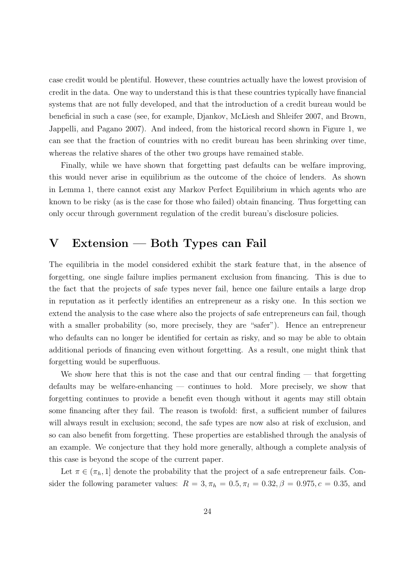case credit would be plentiful. However, these countries actually have the lowest provision of credit in the data. One way to understand this is that these countries typically have financial systems that are not fully developed, and that the introduction of a credit bureau would be beneficial in such a case (see, for example, Djankov, McLiesh and Shleifer 2007, and Brown, Jappelli, and Pagano 2007). And indeed, from the historical record shown in Figure 1, we can see that the fraction of countries with no credit bureau has been shrinking over time, whereas the relative shares of the other two groups have remained stable.

Finally, while we have shown that forgetting past defaults can be welfare improving, this would never arise in equilibrium as the outcome of the choice of lenders. As shown in Lemma 1, there cannot exist any Markov Perfect Equilibrium in which agents who are known to be risky (as is the case for those who failed) obtain financing. Thus forgetting can only occur through government regulation of the credit bureau's disclosure policies.

### **V Extension — Both Types can Fail**

The equilibria in the model considered exhibit the stark feature that, in the absence of forgetting, one single failure implies permanent exclusion from financing. This is due to the fact that the projects of safe types never fail, hence one failure entails a large drop in reputation as it perfectly identifies an entrepreneur as a risky one. In this section we extend the analysis to the case where also the projects of safe entrepreneurs can fail, though with a smaller probability (so, more precisely, they are "safer"). Hence an entrepreneur who defaults can no longer be identified for certain as risky, and so may be able to obtain additional periods of financing even without forgetting. As a result, one might think that forgetting would be superfluous.

We show here that this is not the case and that our central finding  $-$  that forgetting defaults may be welfare-enhancing — continues to hold. More precisely, we show that forgetting continues to provide a benefit even though without it agents may still obtain some financing after they fail. The reason is twofold: first, a sufficient number of failures will always result in exclusion; second, the safe types are now also at risk of exclusion, and so can also benefit from forgetting. These properties are established through the analysis of an example. We conjecture that they hold more generally, although a complete analysis of this case is beyond the scope of the current paper.

Let  $\pi \in (\pi_h, 1]$  denote the probability that the project of a safe entrepreneur fails. Consider the following parameter values:  $R = 3, \pi_h = 0.5, \pi_l = 0.32, \beta = 0.975, c = 0.35, \text{ and}$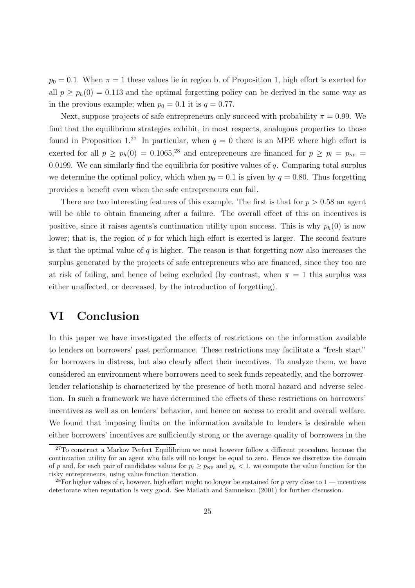$p_0 = 0.1$ . When  $\pi = 1$  these values lie in region b. of Proposition 1, high effort is exerted for all  $p \geq p_h(0) = 0.113$  and the optimal forgetting policy can be derived in the same way as in the previous example; when  $p_0 = 0.1$  it is  $q = 0.77$ .

Next, suppose projects of safe entrepreneurs only succeed with probability  $\pi = 0.99$ . We find that the equilibrium strategies exhibit, in most respects, analogous properties to those found in Proposition 1.<sup>27</sup> In particular, when  $q = 0$  there is an MPE where high effort is exerted for all  $p \ge p_h(0) = 0.1065$ <sup>28</sup> and entrepreneurs are financed for  $p \ge p_l = p_{NF}$ 0.0199. We can similarly find the equilibria for positive values of  $q$ . Comparing total surplus we determine the optimal policy, which when  $p_0 = 0.1$  is given by  $q = 0.80$ . Thus forgetting provides a benefit even when the safe entrepreneurs can fail.

There are two interesting features of this example. The first is that for  $p > 0.58$  an agent will be able to obtain financing after a failure. The overall effect of this on incentives is positive, since it raises agents's continuation utility upon success. This is why  $p_h(0)$  is now lower; that is, the region of  $p$  for which high effort is exerted is larger. The second feature is that the optimal value of  $q$  is higher. The reason is that forgetting now also increases the surplus generated by the projects of safe entrepreneurs who are financed, since they too are at risk of failing, and hence of being excluded (by contrast, when  $\pi = 1$  this surplus was either unaffected, or decreased, by the introduction of forgetting).

### **VI Conclusion**

In this paper we have investigated the effects of restrictions on the information available to lenders on borrowers' past performance. These restrictions may facilitate a "fresh start" for borrowers in distress, but also clearly affect their incentives. To analyze them, we have considered an environment where borrowers need to seek funds repeatedly, and the borrowerlender relationship is characterized by the presence of both moral hazard and adverse selection. In such a framework we have determined the effects of these restrictions on borrowers' incentives as well as on lenders' behavior, and hence on access to credit and overall welfare. We found that imposing limits on the information available to lenders is desirable when either borrowers' incentives are sufficiently strong or the average quality of borrowers in the

<sup>&</sup>lt;sup>27</sup>To construct a Markov Perfect Equilibrium we must however follow a different procedure, because the continuation utility for an agent who fails will no longer be equal to zero. Hence we discretize the domain of p and, for each pair of candidates values for  $p_l \geq p_{NF}$  and  $p_h < 1$ , we compute the value function for the risky entrepreneurs, using value function iteration.

<sup>&</sup>lt;sup>28</sup>For higher values of c, however, high effort might no longer be sustained for p very close to 1 — incentives deteriorate when reputation is very good. See Mailath and Samuelson (2001) for further discussion.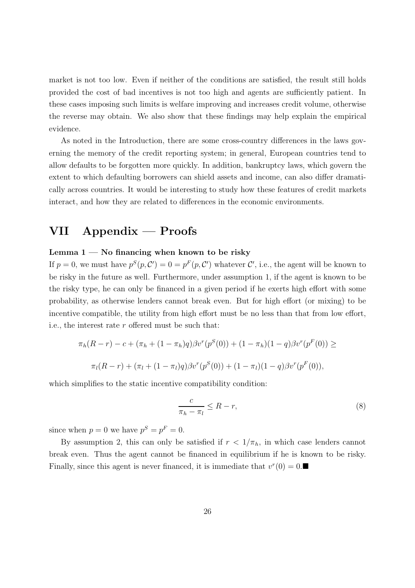market is not too low. Even if neither of the conditions are satisfied, the result still holds provided the cost of bad incentives is not too high and agents are sufficiently patient. In these cases imposing such limits is welfare improving and increases credit volume, otherwise the reverse may obtain. We also show that these findings may help explain the empirical evidence.

As noted in the Introduction, there are some cross-country differences in the laws governing the memory of the credit reporting system; in general, European countries tend to allow defaults to be forgotten more quickly. In addition, bankruptcy laws, which govern the extent to which defaulting borrowers can shield assets and income, can also differ dramatically across countries. It would be interesting to study how these features of credit markets interact, and how they are related to differences in the economic environments.

## **VII Appendix — Proofs**

#### **Lemma 1 — No financing when known to be risky**

If  $p = 0$ , we must have  $p^{S}(p, C') = 0 = p^{F}(p, C')$  whatever C', i.e., the agent will be known to be risky in the future as well. Furthermore, under assumption 1, if the agent is known to be the risky type, he can only be financed in a given period if he exerts high effort with some probability, as otherwise lenders cannot break even. But for high effort (or mixing) to be incentive compatible, the utility from high effort must be no less than that from low effort, i.e., the interest rate  $r$  offered must be such that:

$$
\pi_h(R-r) - c + (\pi_h + (1 - \pi_h)q)\beta v^r(p^S(0)) + (1 - \pi_h)(1 - q)\beta v^r(p^F(0)) \ge
$$
  

$$
\pi_l(R-r) + (\pi_l + (1 - \pi_l)q)\beta v^r(p^S(0)) + (1 - \pi_l)(1 - q)\beta v^r(p^F(0)),
$$

which simplifies to the static incentive compatibility condition:

$$
\frac{c}{\pi_h - \pi_l} \le R - r,\tag{8}
$$

since when  $p = 0$  we have  $p^{S} = p^{F} = 0$ .

By assumption 2, this can only be satisfied if  $r < 1/\pi_h$ , in which case lenders cannot break even. Thus the agent cannot be financed in equilibrium if he is known to be risky. Finally, since this agent is never financed, it is immediate that  $v^r(0) = 0$ .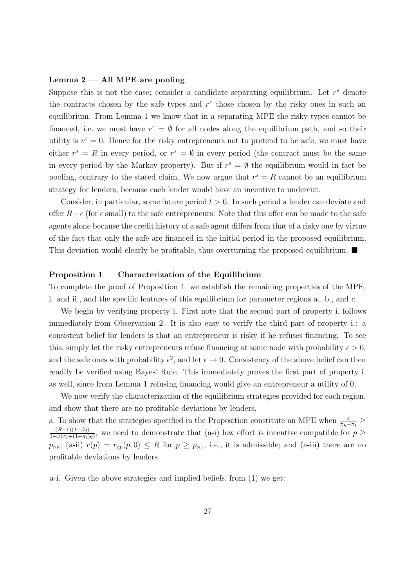#### **Lemma 2 — All MPE are pooling**

Suppose this is not the case; consider a candidate separating equilibrium. Let  $r<sup>s</sup>$  denote the contracts chosen by the safe types and  $r<sup>r</sup>$  those chosen by the risky ones in such an equilibrium. From Lemma 1 we know that in a separating MPE the risky types cannot be financed, i.e. we must have  $r^r = \emptyset$  for all nodes along the equilibrium path, and so their utility is  $v^r = 0$ . Hence for the risky entrepreneurs not to pretend to be safe, we must have either  $r^s = R$  in every period, or  $r^s = \emptyset$  in every period (the contract must be the same in every period by the Markov property). But if  $r^s = \emptyset$  the equilibrium would in fact be pooling, contrary to the stated claim. We now argue that  $r<sup>s</sup> = R$  cannot be an equilibrium strategy for lenders, because each lender would have an incentive to undercut.

Consider, in particular, some future period  $t > 0$ . In such period a lender can deviate and offer  $R-\epsilon$  (for  $\epsilon$  small) to the safe entrepreneurs. Note that this offer can be made to the safe agents alone because the credit history of a safe agent differs from that of a risky one by virtue of the fact that only the safe are financed in the initial period in the proposed equilibrium. This deviation would clearly be profitable, thus overturning the proposed equilibrium.  $\blacksquare$ 

#### **Proposition 1 — Characterization of the Equilibrium**

To complete the proof of Proposition 1, we establish the remaining properties of the MPE, i. and ii., and the specific features of this equilibrium for parameter regions a., b., and c.

We begin by verifying property i. First note that the second part of property i. follows immediately from Observation 2. It is also easy to verify the third part of property i.: a consistent belief for lenders is that an entrepreneur is risky if he refuses financing. To see this, simply let the risky entrepreneurs refuse financing at some node with probability  $\epsilon > 0$ , and the safe ones with probability  $\epsilon^2$ , and let  $\epsilon \to 0$ . Consistency of the above belief can then readily be verified using Bayes' Rule. This immediately proves the first part of property i. as well, since from Lemma 1 refusing financing would give an entrepreneur a utility of 0.

We now verify the characterization of the equilibrium strategies provided for each region, and show that there are no profitable deviations by lenders.

a. To show that the strategies specified in the Proposition constitute an MPE when  $\frac{c}{\pi_h-\pi_l} \ge$  $\frac{(R-1)(1-\beta q)}{1-\beta(\pi_l+(1-\pi_l)q)}$ , we need to demonstrate that (a-i) low effort is incentive compatible for  $p \ge$  $p_{NF}$ ; (a-ii)  $r(p) = r_{zp}(p, 0) \le R$  for  $p \ge p_{NF}$ , i.e., it is admissible; and (a-iii) there are no profitable deviations by lenders.

a-i. Given the above strategies and implied beliefs, from (1) we get: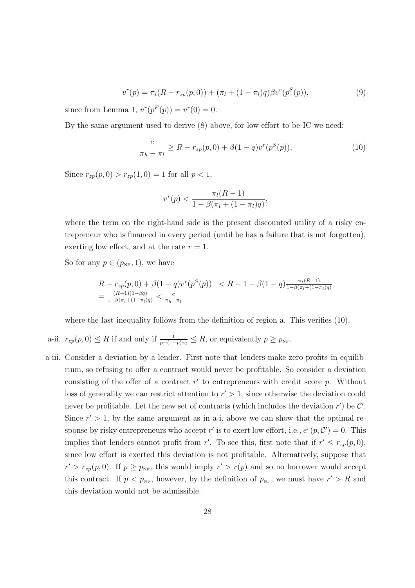$$
v^{r}(p) = \pi_{l}(R - r_{zp}(p, 0)) + (\pi_{l} + (1 - \pi_{l})q)\beta v^{r}(p^{S}(p)),
$$
\n(9)

since from Lemma 1,  $v^{r}(p^{F}(p)) = v^{r}(0) = 0$ .

By the same argument used to derive (8) above, for low effort to be IC we need:

$$
\frac{c}{\pi_h - \pi_l} \ge R - r_{zp}(p, 0) + \beta (1 - q) v^r(p^S(p)),
$$
\n(10)

Since  $r_{zp}(p, 0) > r_{zp}(1, 0) = 1$  for all  $p < 1$ ,

$$
v^{r}(p) < \frac{\pi_{l}(R-1)}{1 - \beta(\pi_{l} + (1 - \pi_{l})q)},
$$

where the term on the right-hand side is the present discounted utility of a risky entrepreneur who is financed in every period (until he has a failure that is not forgotten), exerting low effort, and at the rate  $r = 1$ .

So for any  $p \in (p_{NF}, 1)$ , we have

$$
R - r_{zp}(p,0) + \beta(1-q)v^{r}(p^{S}(p)) < R - 1 + \beta(1-q)\frac{\pi_{l}(R-1)}{1-\beta(\pi_{l}+(1-\pi_{l})q)}}{1-\beta(\pi_{l}+(1-\pi_{l})q)} < \frac{c}{\pi_{h}-\pi_{l}}
$$

where the last inequality follows from the definition of region a. This verifies (10).

- a-ii.  $r_{zp}(p,0) \leq R$  if and only if  $\frac{1}{p+(1-p)\pi_l} \leq R$ , or equivalently  $p \geq p_{\text{NF}}$ .
- a-iii. Consider a deviation by a lender. First note that lenders make zero profits in equilibrium, so refusing to offer a contract would never be profitable. So consider a deviation consisting of the offer of a contract  $r'$  to entrepreneurs with credit score p. Without loss of generality we can restrict attention to  $r' > 1$ , since otherwise the deviation could never be profitable. Let the new set of contracts (which includes the deviation  $r'$ ) be  $\mathcal{C}'$ . Since  $r' > 1$ , by the same argument as in a-i. above we can show that the optimal response by risky entrepreneurs who accept  $r'$  is to exert low effort, i.e.,  $e^r(p, C') = 0$ . This implies that lenders cannot profit from r'. To see this, first note that if  $r' \leq r_{zp}(p,0)$ , since low effort is exerted this deviation is not profitable. Alternatively, suppose that  $r' > r_{zp}(p, 0)$ . If  $p \ge p_{NF}$ , this would imply  $r' > r(p)$  and so no borrower would accept this contract. If  $p < p_{NF}$ , however, by the definition of  $p_{NF}$ , we must have  $r' > R$  and this deviation would not be admissible.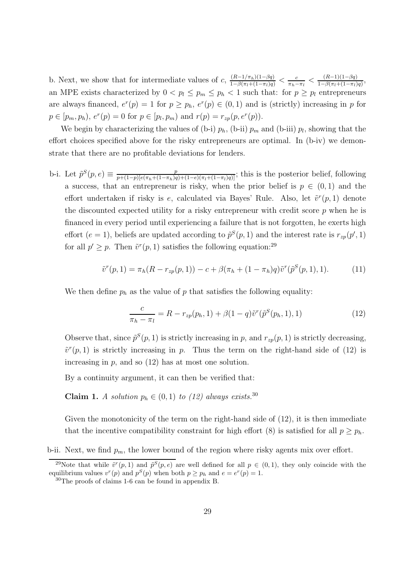b. Next, we show that for intermediate values of c,  $\frac{(R-1/\pi_h)(1-\beta q)}{1-\beta(\pi_l+(1-\pi_l)q)} < \frac{c}{\pi_h-\pi_l} < \frac{(R-1)(1-\beta q)}{1-\beta(\pi_l+(1-\pi_l)q)}$ , an MPE exists characterized by  $0 < p_l \leq p_m \leq p_h < 1$  such that: for  $p \geq p_l$  entrepreneurs are always financed,  $e^r(p) = 1$  for  $p \ge p_h$ ,  $e^r(p) \in (0, 1)$  and is (strictly) increasing in p for  $p \in [p_m, p_h), e^r(p) = 0$  for  $p \in [p_l, p_m)$  and  $r(p) = r_{zp}(p, e^r(p)).$ 

We begin by characterizing the values of (b-i)  $p_h$ , (b-ii)  $p_m$  and (b-iii)  $p_l$ , showing that the effort choices specified above for the risky entrepreneurs are optimal. In (b-iv) we demonstrate that there are no profitable deviations for lenders.

b-i. Let  $\tilde{p}^S(p,e) \equiv \frac{p}{p+(1-p)[e(\pi_h+(1-\pi_h)q)+(1-e)(\pi_l+(1-\pi_l)q)]}$ ; this is the posterior belief, following a success, that an entrepreneur is risky, when the prior belief is  $p \in (0,1)$  and the effort undertaken if risky is e, calculated via Bayes' Rule. Also, let  $\tilde{v}^r(p, 1)$  denote the discounted expected utility for a risky entrepreneur with credit score  $p$  when he is financed in every period until experiencing a failure that is not forgotten, he exerts high effort (e = 1), beliefs are updated according to  $\tilde{p}^S(p,1)$  and the interest rate is  $r_{zp}(p',1)$ for all  $p' \geq p$ . Then  $\tilde{v}^r(p, 1)$  satisfies the following equation:<sup>29</sup>

$$
\tilde{v}^r(p,1) = \pi_h(R - r_{zp}(p,1)) - c + \beta(\pi_h + (1 - \pi_h)q)\tilde{v}^r(\tilde{p}^S(p,1),1). \tag{11}
$$

We then define  $p_h$  as the value of p that satisfies the following equality:

$$
\frac{c}{\pi_h - \pi_l} = R - r_{zp}(p_h, 1) + \beta (1 - q) \tilde{v}^r(\tilde{p}^S(p_h, 1), 1)
$$
\n(12)

Observe that, since  $\tilde{p}^S(p, 1)$  is strictly increasing in p, and  $r_{zp}(p, 1)$  is strictly decreasing,  $\tilde{v}^r(p, 1)$  is strictly increasing in p. Thus the term on the right-hand side of (12) is increasing in  $p$ , and so  $(12)$  has at most one solution.

By a continuity argument, it can then be verified that:

**Claim 1.** A solution  $p_h \in (0,1)$  to (12) always exists.<sup>30</sup>

Given the monotonicity of the term on the right-hand side of  $(12)$ , it is then immediate that the incentive compatibility constraint for high effort (8) is satisfied for all  $p \geq p_h$ .

b-ii. Next, we find  $p_m$ , the lower bound of the region where risky agents mix over effort.

<sup>&</sup>lt;sup>29</sup>Note that while  $\tilde{v}^r(p, 1)$  and  $\tilde{p}^S(p, e)$  are well defined for all  $p \in (0, 1)$ , they only coincide with the equilibrium values  $v^r(p)$  and  $p^S(p)$  when both  $p \geq p_h$  and  $e = e^r(p) = 1$ .

<sup>30</sup>The proofs of claims 1-6 can be found in appendix B.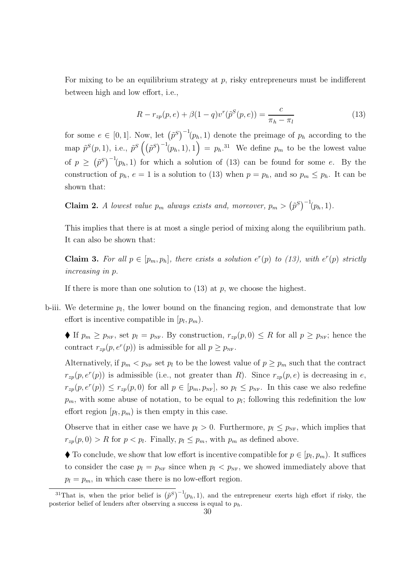For mixing to be an equilibrium strategy at  $p$ , risky entrepreneurs must be indifferent between high and low effort, i.e.,

$$
R - r_{zp}(p, e) + \beta (1 - q) v^r(\tilde{p}^S(p, e)) = \frac{c}{\pi_h - \pi_l}
$$
\n(13)

for some  $e \in [0,1]$ . Now, let  $(\tilde{p}^S)^{-1}(p_h, 1)$  denote the preimage of  $p_h$  according to the map  $\tilde{p}^{S}(p,1)$ , i.e.,  $\tilde{p}^{S}\left(\left(\tilde{p}^{S}\right)^{-1}(p_{h},1),1\right) = p_{h}.^{31}$  We define  $p_{m}$  to be the lowest value of  $p \geq (\tilde{p}^S)^{-1}(p_h, 1)$  for which a solution of (13) can be found for some e. By the construction of  $p_h$ ,  $e = 1$  is a solution to (13) when  $p = p_h$ , and so  $p_m \leq p_h$ . It can be shown that:

**Claim 2.** A lowest value  $p_m$  always exists and, moreover,  $p_m > (\tilde{p}^S)^{-1}(p_h, 1)$ .

This implies that there is at most a single period of mixing along the equilibrium path. It can also be shown that:

**Claim 3.** For all  $p \in [p_m, p_h]$ , there exists a solution  $e^r(p)$  to (13), with  $e^r(p)$  strictly increasing in p.

If there is more than one solution to  $(13)$  at p, we choose the highest.

b-iii. We determine  $p_l$ , the lower bound on the financing region, and demonstrate that low effort is incentive compatible in  $[p_l, p_m]$ .

If  $p_m \geq p_{NF}$ , set  $p_l = p_{NF}$ . By construction,  $r_{zp}(p, 0) \leq R$  for all  $p \geq p_{NF}$ ; hence the contract  $r_{zp}(p, e^r(p))$  is admissible for all  $p \ge p_{NF}$ .

Alternatively, if  $p_m < p_{NF}$  set  $p_l$  to be the lowest value of  $p \geq p_m$  such that the contract  $r_{zp}(p, e^r(p))$  is admissible (i.e., not greater than R). Since  $r_{zp}(p, e)$  is decreasing in e,  $r_{zp}(p, e^r(p)) \leq r_{zp}(p, 0)$  for all  $p \in [p_m, p_{NF}]$ , so  $p_l \leq p_{NF}$ . In this case we also redefine  $p_m$ , with some abuse of notation, to be equal to  $p_l$ ; following this redefinition the low effort region  $[p_l, p_m]$  is then empty in this case.

Observe that in either case we have  $p_l > 0$ . Furthermore,  $p_l \leq p_{NF}$ , which implies that  $r_{zp}(p, 0) > R$  for  $p < p_l$ . Finally,  $p_l \leq p_m$ , with  $p_m$  as defined above.

 $\blacklozenge$  To conclude, we show that low effort is incentive compatible for  $p \in [p_l, p_m)$ . It suffices to consider the case  $p_l = p_{NF}$  since when  $p_l < p_{NF}$ , we showed immediately above that  $p_l = p_m$ , in which case there is no low-effort region.

<sup>&</sup>lt;sup>31</sup>That is, when the prior belief is  $(\tilde{p}^S)^{-1}(p_h, 1)$ , and the entrepreneur exerts high effort if risky, the posterior belief of lenders after observing a success is equal to  $p_h$ .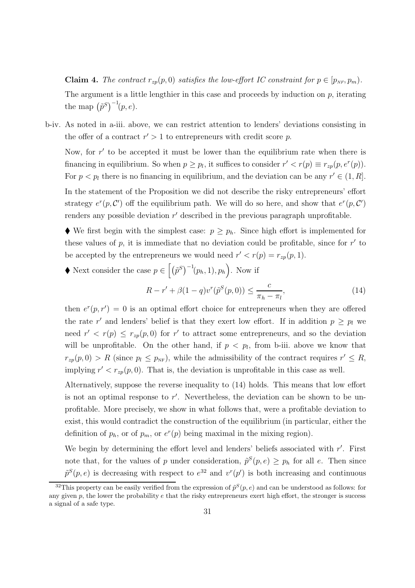**Claim 4.** The contract  $r_{zp}(p, 0)$  satisfies the low-effort IC constraint for  $p \in [p_{NF}, p_m)$ . The argument is a little lengthier in this case and proceeds by induction on  $p$ , iterating the map  $(\tilde{p}^S)^{-1}(p,e)$ .

b-iv. As noted in a-iii. above, we can restrict attention to lenders' deviations consisting in the offer of a contract  $r' > 1$  to entrepreneurs with credit score p.

Now, for  $r'$  to be accepted it must be lower than the equilibrium rate when there is financing in equilibrium. So when  $p \geq p_l$ , it suffices to consider  $r' < r(p) \equiv r_{zp}(p, e^r(p))$ . For  $p < p_l$  there is no financing in equilibrium, and the deviation can be any  $r' \in (1, R]$ .

In the statement of the Proposition we did not describe the risky entrepreneurs' effort strategy  $e^r(p, C')$  off the equilibrium path. We will do so here, and show that  $e^r(p, C')$ renders any possible deviation  $r'$  described in the previous paragraph unprofitable.

We first begin with the simplest case:  $p \geq p_h$ . Since high effort is implemented for these values of  $p$ , it is immediate that no deviation could be profitable, since for  $r'$  to be accepted by the entrepreneurs we would need  $r' < r(p) = r_{zp}(p, 1)$ .

♦ Next consider the case  $p \in [(\tilde{p}^S)^{-1}(p_h, 1), p_h]$ . Now if  $R - r' + \beta(1 - q)v^r(\tilde{p}^S(p, 0)) \leq \frac{c}{\pi r}$  $\pi_h - \pi_l$  $(14)$ 

then  $e^{r}(p, r') = 0$  is an optimal effort choice for entrepreneurs when they are offered the rate r' and lenders' belief is that they exert low effort. If in addition  $p \geq p_l$  we need  $r' < r(p) \leq r_{zp}(p,0)$  for r' to attract some entrepreneurs, and so the deviation will be unprofitable. On the other hand, if  $p < p_l$ , from b-iii. above we know that  $r_{zp}(p,0) > R$  (since  $p_l \leq p_{NF}$ ), while the admissibility of the contract requires  $r' \leq R$ , implying  $r' < r_{zp}(p, 0)$ . That is, the deviation is unprofitable in this case as well.

Alternatively, suppose the reverse inequality to (14) holds. This means that low effort is not an optimal response to r . Nevertheless, the deviation can be shown to be unprofitable. More precisely, we show in what follows that, were a profitable deviation to exist, this would contradict the construction of the equilibrium (in particular, either the definition of  $p_h$ , or of  $p_m$ , or  $e^r(p)$  being maximal in the mixing region).

We begin by determining the effort level and lenders' beliefs associated with r'. First note that, for the values of p under consideration,  $\tilde{p}^S(p, e) \geq p_h$  for all e. Then since  $\tilde{p}^S(p,e)$  is decreasing with respect to  $e^{32}$  and  $v^r(p')$  is both increasing and continuous

<sup>&</sup>lt;sup>32</sup>This property can be easily verified from the expression of  $\tilde{p}^S(p, e)$  and can be understood as follows: for any given  $p$ , the lower the probability  $e$  that the risky entrepreneurs exert high effort, the stronger is success a signal of a safe type.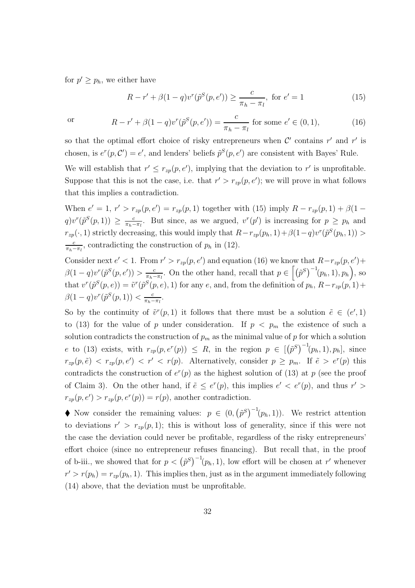for  $p' \geq p_h$ , we either have

$$
R - r' + \beta(1 - q)v^{r}(\tilde{p}^{S}(p, e')) \ge \frac{c}{\pi_{h} - \pi_{l}}, \text{ for } e' = 1
$$
 (15)

or 
$$
R - r' + \beta(1 - q)v^{r}(\tilde{p}^{S}(p, e')) = \frac{c}{\pi_{h} - \pi_{l}} \text{ for some } e' \in (0, 1),
$$
 (16)

so that the optimal effort choice of risky entrepreneurs when  $\mathcal{C}'$  contains r' and r' is chosen, is  $e^r(p, C') = e'$ , and lenders' beliefs  $\tilde{p}^S(p, e')$  are consistent with Bayes' Rule.

We will establish that  $r' \leq r_{zp}(p, e')$ , implying that the deviation to r' is unprofitable. Suppose that this is not the case, i.e. that  $r' > r_{zp}(p, e')$ ; we will prove in what follows that this implies a contradiction.

When  $e' = 1$ ,  $r' > r_{zp}(p, e') = r_{zp}(p, 1)$  together with (15) imply  $R - r_{zp}(p, 1) + \beta(1$  $q)v^{r}(\tilde{p}^{S}(p,1)) \geq \frac{c}{\pi_{h}-\pi_{l}}$ . But since, as we argued,  $v^{r}(p')$  is increasing for  $p \geq p_{h}$  and  $r_{zp}(\cdot, 1)$  strictly decreasing, this would imply that  $R-r_{zp}(p_h, 1) + \beta(1-q)v^r(\tilde{p}^S(p_h, 1)) >$ c  $\frac{c}{\pi_h - \pi_l}$ , contradicting the construction of  $p_h$  in (12).

Consider next  $e' < 1$ . From  $r' > r_{zp}(p, e')$  and equation (16) we know that  $R-r_{zp}(p, e')$  +  $\beta(1-q)v^r(\tilde{p}^S(p,e')) > \frac{c}{\pi_h-\pi_l}$ . On the other hand, recall that  $p \in [(\tilde{p}^S)^{-1}(p_h, 1), p_h]$ , so that  $v^r(\tilde{p}^S(p, e)) = \tilde{v}^r(\tilde{p}^S(p, e), 1)$  for any e, and, from the definition of  $p_h$ ,  $R-r_{zp}(p, 1)$  +  $\beta(1-q)v^{r}(\tilde{p}^{S}(p, 1)) < \frac{c}{\pi_{h}-\pi_{l}}.$ 

So by the continuity of  $\tilde{v}^r(p,1)$  it follows that there must be a solution  $\tilde{e} \in (e',1)$ to (13) for the value of p under consideration. If  $p < p_m$  the existence of such a solution contradicts the construction of  $p_m$  as the minimal value of p for which a solution e to (13) exists, with  $r_{zp}(p, e^r(p)) \leq R$ , in the region  $p \in [(\tilde{p}^S)^{-1}(p_h, 1), p_h]$ , since  $r_{zp}(p, \tilde{e}) \langle r_{zp}(p, e') \rangle \langle r' \langle r(p), \rangle$  Alternatively, consider  $p \ge p_m$ . If  $\tilde{e} > e^r(p)$  this contradicts the construction of  $e^r(p)$  as the highest solution of (13) at p (see the proof of Claim 3). On the other hand, if  $\tilde{e} \leq e^r(p)$ , this implies  $e' < e^r(p)$ , and thus  $r' >$  $r_{zp}(p, e') > r_{zp}(p, e^r(p)) = r(p)$ , another contradiction.

◆ Now consider the remaining values:  $p \in (0, (\tilde{p}^S)^{-1}(p_h, 1))$ . We restrict attention to deviations  $r' > r_{zp}(p, 1)$ ; this is without loss of generality, since if this were not the case the deviation could never be profitable, regardless of the risky entrepreneurs' effort choice (since no entrepreneur refuses financing). But recall that, in the proof of b-iii., we showed that for  $p < (\tilde{p}^S)^{-1}(p_h, 1)$ , low effort will be chosen at r' whenever  $r' > r(p_h) = r_{zp}(p_h, 1)$ . This implies then, just as in the argument immediately following (14) above, that the deviation must be unprofitable.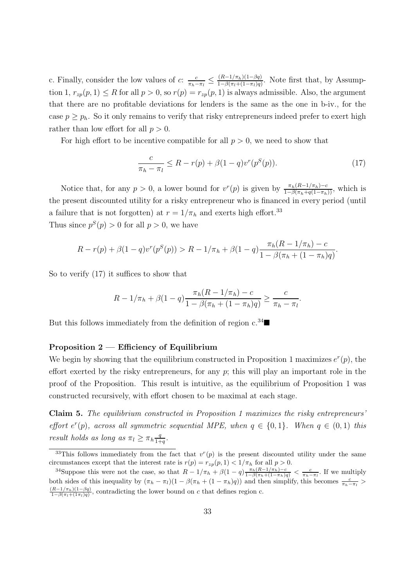c. Finally, consider the low values of c:  $\frac{c}{\pi_h - \pi_l} \leq \frac{(R-1/\pi_h)(1-\beta q)}{1-\beta(\pi_l+(1-\pi_l)q)}$ . Note first that, by Assumption 1,  $r_{zp}(p, 1) \leq R$  for all  $p > 0$ , so  $r(p) = r_{zp}(p, 1)$  is always admissible. Also, the argument that there are no profitable deviations for lenders is the same as the one in b-iv., for the case  $p \geq p_h$ . So it only remains to verify that risky entrepreneurs indeed prefer to exert high rather than low effort for all  $p > 0$ .

For high effort to be incentive compatible for all  $p > 0$ , we need to show that

$$
\frac{c}{\pi_h - \pi_l} \le R - r(p) + \beta (1 - q) v^r(p^S(p)).
$$
\n(17)

.

Notice that, for any  $p > 0$ , a lower bound for  $v^r(p)$  is given by  $\frac{\pi_h(R-1/\pi_h)-c}{1-\beta(\pi_h+q(1-\pi_h))}$ , which is the present discounted utility for a risky entrepreneur who is financed in every period (until a failure that is not forgotten) at  $r = 1/\pi_h$  and exerts high effort.<sup>33</sup> Thus since  $p^{S}(p) > 0$  for all  $p > 0$ , we have

$$
R - r(p) + \beta(1 - q)v^{r}(p^{S}(p)) > R - 1/\pi_{h} + \beta(1 - q)\frac{\pi_{h}(R - 1/\pi_{h}) - c}{1 - \beta(\pi_{h} + (1 - \pi_{h})q)}
$$

So to verify (17) it suffices to show that

$$
R - 1/\pi_h + \beta(1 - q) \frac{\pi_h (R - 1/\pi_h) - c}{1 - \beta(\pi_h + (1 - \pi_h)q)} \ge \frac{c}{\pi_h - \pi_l}.
$$

But this follows immediately from the definition of region  $c^{34}$ 

### **Proposition 2 — Efficiency of Equilibrium**

We begin by showing that the equilibrium constructed in Proposition 1 maximizes  $e^r(p)$ , the effort exerted by the risky entrepreneurs, for any  $p$ ; this will play an important role in the proof of the Proposition. This result is intuitive, as the equilibrium of Proposition 1 was constructed recursively, with effort chosen to be maximal at each stage.

**Claim 5.** The equilibrium constructed in Proposition 1 maximizes the risky entrepreneurs' effort  $e^r(p)$ , across all symmetric sequential MPE, when  $q \in \{0,1\}$ . When  $q \in (0,1)$  this result holds as long as  $\pi_l \geq \pi_h \frac{q}{1+q}$ .

<sup>&</sup>lt;sup>33</sup>This follows immediately from the fact that  $v^r(p)$  is the present discounted utility under the same circumstances except that the interest rate is  $r(p) = r_{zp}(p, 1) < 1/\pi_h$  for all  $p > 0$ .

<sup>&</sup>lt;sup>34</sup>Suppose this were not the case, so that  $R - 1/\pi_h + \beta(1-q)\frac{\pi_h(R-1/\pi_h)-c}{1-\beta(\pi_h+(1-\pi_h)q)} < \frac{c}{\pi_h-\pi_l}$ . If we multiply both sides of this inequality by  $(\pi_h - \pi_l)(1 - \beta(\pi_h + (1 - \pi_h)q))$  and then simplify, this becomes  $\frac{c}{\pi_h - \pi_l}$  $\frac{(R-1/\pi_h)(1-\beta q)}{1-\beta(\pi_l+(1\pi_l)q)}$ , contradicting the lower bound on c that defines region c.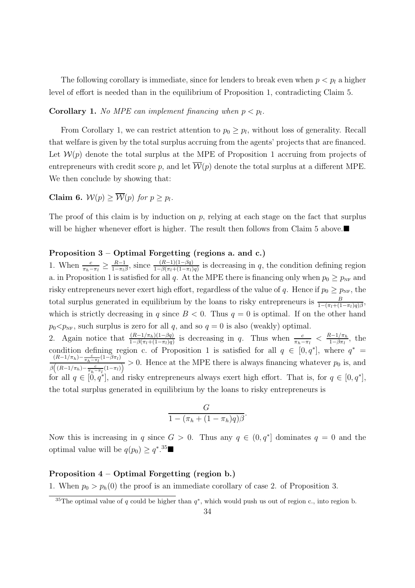The following corollary is immediate, since for lenders to break even when  $p < p_l$  a higher level of effort is needed than in the equilibrium of Proposition 1, contradicting Claim 5.

**Corollary 1.** No MPE can implement financing when  $p < p_l$ .

From Corollary 1, we can restrict attention to  $p_0 \geq p_l$ , without loss of generality. Recall that welfare is given by the total surplus accruing from the agents' projects that are financed. Let  $\mathcal{W}(p)$  denote the total surplus at the MPE of Proposition 1 accruing from projects of entrepreneurs with credit score p, and let  $\overline{\mathcal{W}}(p)$  denote the total surplus at a different MPE. We then conclude by showing that:

**Claim 6.**  $W(p) > \overline{W}(p)$  for  $p > p_l$ .

The proof of this claim is by induction on  $p$ , relying at each stage on the fact that surplus will be higher whenever effort is higher. The result then follows from Claim 5 above. $\blacksquare$ 

#### **Proposition 3 – Optimal Forgetting (regions a. and c.)**

1. When  $\frac{c}{\pi_h-\pi_l} \ge \frac{R-1}{1-\pi_l\beta}$ , since  $\frac{(R-1)(1-\beta q)}{1-\beta(\pi_l+(1-\pi_l)q)}$  is decreasing in q, the condition defining region a. in Proposition 1 is satisfied for all q. At the MPE there is financing only when  $p_0 \ge p_{NF}$  and risky entrepreneurs never exert high effort, regardless of the value of q. Hence if  $p_0 \ge p_{NF}$ , the total surplus generated in equilibrium by the loans to risky entrepreneurs is  $\frac{B}{1-(\pi_l+(1-\pi_l)q)\beta}$ , which is strictly decreasing in q since  $B < 0$ . Thus  $q = 0$  is optimal. If on the other hand  $p_0 < p_{\text{NF}}$ , such surplus is zero for all q, and so  $q = 0$  is also (weakly) optimal. 2. Again notice that  $\frac{(R-1/\pi_h)(1-\beta q)}{1-\beta(\pi_l+(1-\pi_l)q)}$  is decreasing in q. Thus when  $\frac{c}{\pi_h-\pi_l} < \frac{R-1/\pi_h}{1-\beta\pi_l}$ , the

condition defining region c. of Proposition 1 is satisfied for all  $q \in [0, q^*]$ , where  $q^* = \frac{(R-1/\pi_h) - \frac{c}{\pi_h - \pi_l}(1-\beta\pi_l)}{2} > 0$ . Hence at the MPE there is always financing whatever  $n_0$  is and  $\beta\left((R-1/\pi_h)-\frac{c}{\pi_h-\pi_l}(1-\pi_l)\right)}>0$ . Hence at the MPE there is always financing whatever  $p_0$  is, and  $\beta\left((R-1/\pi_h)-\frac{c}{\pi_h-\pi_l}(1-\pi_l)\right)>0$ . for all  $q \in [0, q^*]$ , and risky entrepreneurs always exert high effort. That is, for  $q \in [0, q^*]$ , the total surplus generated in equilibrium by the loans to risky entrepreneurs is

$$
\frac{G}{1-(\pi_h+(1-\pi_h)q)\beta}.
$$

Now this is increasing in q since  $G > 0$ . Thus any  $q \in (0, q^*]$  dominates  $q = 0$  and the optimal value will be  $q(p_0) \geq q^{*,35}$ 

#### **Proposition 4 – Optimal Forgetting (region b.)**

1. When  $p_0 > p_h(0)$  the proof is an immediate corollary of case 2. of Proposition 3.

<sup>&</sup>lt;sup>35</sup>The optimal value of q could be higher than  $q^*$ , which would push us out of region c., into region b.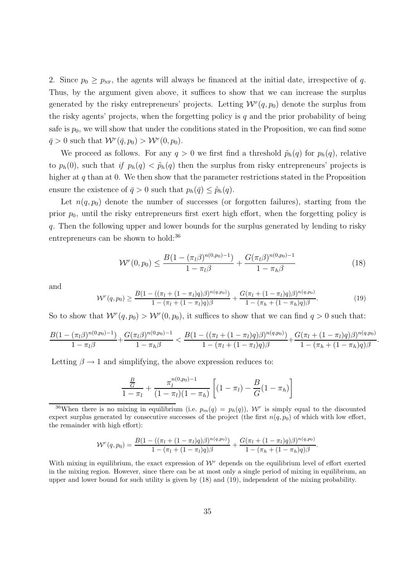2. Since  $p_0 \geq p_{NF}$ , the agents will always be financed at the initial date, irrespective of q. Thus, by the argument given above, it suffices to show that we can increase the surplus generated by the risky entrepreneurs' projects. Letting  $W^r(q, p_0)$  denote the surplus from the risky agents' projects, when the forgetting policy is  $q$  and the prior probability of being safe is  $p_0$ , we will show that under the conditions stated in the Proposition, we can find some  $\bar{q} > 0$  such that  $W^r(\bar{q}, p_0) > W^r(0, p_0)$ .

We proceed as follows. For any  $q > 0$  we first find a threshold  $\tilde{p}_h(q)$  for  $p_h(q)$ , relative to  $p_h(0)$ , such that if  $p_h(q) < \tilde{p}_h(q)$  then the surplus from risky entrepreneurs' projects is higher at  $q$  than at 0. We then show that the parameter restrictions stated in the Proposition ensure the existence of  $\bar{q} > 0$  such that  $p_h(\bar{q}) \leq \tilde{p}_h(q)$ .

Let  $n(q, p_0)$  denote the number of successes (or forgotten failures), starting from the prior  $p_0$ , until the risky entrepreneurs first exert high effort, when the forgetting policy is q. Then the following upper and lower bounds for the surplus generated by lending to risky entrepreneurs can be shown to hold:<sup>36</sup>

$$
\mathcal{W}^r(0, p_0) \le \frac{B(1 - (\pi_l \beta)^{n(0, p_0) - 1})}{1 - \pi_l \beta} + \frac{G(\pi_l \beta)^{n(0, p_0) - 1}}{1 - \pi_h \beta} \tag{18}
$$

and

$$
\mathcal{W}^{r}(q, p_0) \geq \frac{B(1 - ((\pi_l + (1 - \pi_l)q)\beta)^{n(q, p_0)})}{1 - (\pi_l + (1 - \pi_l)q)\beta} + \frac{G(\pi_l + (1 - \pi_l)q)\beta)^{n(q, p_0)}}{1 - (\pi_h + (1 - \pi_h)q)\beta}.
$$
\n(19)

So to show that  $W^r(q,p_0) > W^r(0,p_0)$ , it suffices to show that we can find  $q > 0$  such that:

$$
\frac{B(1-(\pi_l\beta)^{n(0,p_0)-1})}{1-\pi_l\beta}+\frac{G(\pi_l\beta)^{n(0,p_0)-1}}{1-\pi_h\beta}<\frac{B(1-((\pi_l+(1-\pi_l)q)\beta)^{n(q,p_0)})}{1-(\pi_l+(1-\pi_l)q)\beta}+\frac{G(\pi_l+(1-\pi_l)q)\beta)^{n(q,p_0)}}{1-(\pi_h+(1-\pi_h)q)\beta}.
$$

Letting  $\beta \rightarrow 1$  and simplifying, the above expression reduces to:

$$
\frac{\frac{B}{G}}{1-\pi_l} + \frac{\pi_l^{n(0,p_0)-1}}{(1-\pi_l)(1-\pi_h)} \left[ (1-\pi_l) - \frac{B}{G}(1-\pi_h) \right]
$$

<sup>36</sup>When there is no mixing in equilibrium (i.e.  $p_m(q) = p_h(q)$ ),  $\mathcal{W}^r$  is simply equal to the discounted expect surplus generated by consecutive successes of the project (the first  $n(q, p_0)$  of which with low effort, the remainder with high effort):

$$
W^{r}(q, p_0) = \frac{B(1 - ((\pi_l + (1 - \pi_l)q)\beta)^{n(q, p_0)})}{1 - (\pi_l + (1 - \pi_l)q)\beta} + \frac{G(\pi_l + (1 - \pi_l)q)\beta)^{n(q, p_0)}}{1 - (\pi_h + (1 - \pi_h)q)\beta}.
$$

With mixing in equilibrium, the exact expression of  $\mathcal{W}^r$  depends on the equilibrium level of effort exerted in the mixing region. However, since there can be at most only a single period of mixing in equilibrium, an upper and lower bound for such utility is given by (18) and (19), independent of the mixing probability.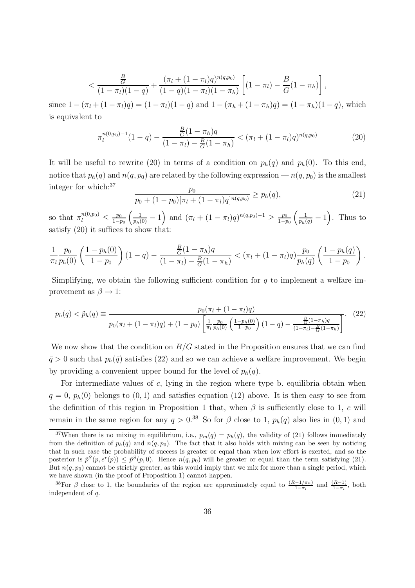$$
< \frac{\frac{B}{G}}{(1-\pi_l)(1-q)} + \frac{(\pi_l + (1-\pi_l)q)^{n(q,p_0)}}{(1-q)(1-\pi_l)(1-\pi_h)} \left[ (1-\pi_l) - \frac{B}{G}(1-\pi_h) \right],
$$

since  $1 - (\pi_l + (1 - \pi_l)q) = (1 - \pi_l)(1 - q)$  and  $1 - (\pi_h + (1 - \pi_h)q) = (1 - \pi_h)(1 - q)$ , which is equivalent to

$$
\pi_l^{n(0,p_0)-1}(1-q) - \frac{\frac{B}{G}(1-\pi_h)q}{(1-\pi_l) - \frac{B}{G}(1-\pi_h)} < (\pi_l + (1-\pi_l)q)^{n(q,p_0)}\tag{20}
$$

It will be useful to rewrite (20) in terms of a condition on  $p_h(q)$  and  $p_h(0)$ . To this end, notice that  $p_h(q)$  and  $n(q, p_0)$  are related by the following expression  $-n(q, p_0)$  is the smallest integer for which:<sup>37</sup>  $\bar{p}_0$ 

$$
\frac{p_0}{p_0 + (1 - p_0)[\pi_l + (1 - \pi_l)q]^{n(q, p_0)}} \ge p_h(q),\tag{21}
$$

so that  $\pi_l^{n(0,p_0)} \leq \frac{p_0}{1-p_0}$  $\left(\frac{1}{p_h(0)}-1\right)$  and  $\left(\pi_l + (1-\pi_l)q\right)^{n(q,p_0)-1} \ge \frac{p_0}{1-p_0}$  $\left(\frac{1}{p_h(q)}-1\right)$ . Thus to satisfy (20) it suffices to show that:

$$
\frac{1}{\pi_l} \frac{p_0}{p_h(0)} \left( \frac{1 - p_h(0)}{1 - p_0} \right) (1 - q) - \frac{\frac{B}{G}(1 - \pi_h)q}{(1 - \pi_l) - \frac{B}{G}(1 - \pi_h)} < (\pi_l + (1 - \pi_l)q) \frac{p_0}{p_h(q)} \left( \frac{1 - p_h(q)}{1 - p_0} \right).
$$

Simplifying, we obtain the following sufficient condition for  $q$  to implement a welfare improvement as  $\beta \to 1$ :

$$
p_h(q) < \tilde{p}_h(q) \equiv \frac{p_0(\pi_l + (1 - \pi_l)q)}{p_0(\pi_l + (1 - \pi_l)q) + (1 - p_0) \left[ \frac{1}{\pi_l} \frac{p_0}{p_h(0)} \left( \frac{1 - p_h(0)}{1 - p_0} \right) (1 - q) - \frac{\frac{B}{G}(1 - \pi_h)q}{(1 - \pi_l) - \frac{B}{G}(1 - \pi_h)} \right]}. \tag{22}
$$

We now show that the condition on  $B/G$  stated in the Proposition ensures that we can find  $\bar{q} > 0$  such that  $p_h(\bar{q})$  satisfies (22) and so we can achieve a welfare improvement. We begin by providing a convenient upper bound for the level of  $p_h(q)$ .

For intermediate values of  $c$ , lying in the region where type b. equilibria obtain when  $q = 0$ ,  $p_h(0)$  belongs to  $(0, 1)$  and satisfies equation (12) above. It is then easy to see from the definition of this region in Proposition 1 that, when  $\beta$  is sufficiently close to 1, c will remain in the same region for any  $q > 0.38$  So for  $\beta$  close to 1,  $p_h(q)$  also lies in  $(0, 1)$  and

<sup>&</sup>lt;sup>37</sup>When there is no mixing in equilibrium, i.e.,  $p_m(q) = p_h(q)$ , the validity of (21) follows immediately from the definition of  $p_h(q)$  and  $n(q, p_0)$ . The fact that it also holds with mixing can be seen by noticing that in such case the probability of success is greater or equal than when low effort is exerted, and so the posterior is  $\tilde{p}^S(p, e^r(p)) \leq \tilde{p}^S(p, 0)$ . Hence  $n(q, p_0)$  will be greater or equal than the term satisfying (21). But  $n(q, p_0)$  cannot be strictly greater, as this would imply that we mix for more than a single period, which we have shown (in the proof of Proposition 1) cannot happen.

<sup>&</sup>lt;sup>38</sup>For  $\beta$  close to 1, the boundaries of the region are approximately equal to  $\frac{(R-1/\pi_h)}{1-\pi_l}$  and  $\frac{(R-1)}{1-\pi_l}$ , both independent of q.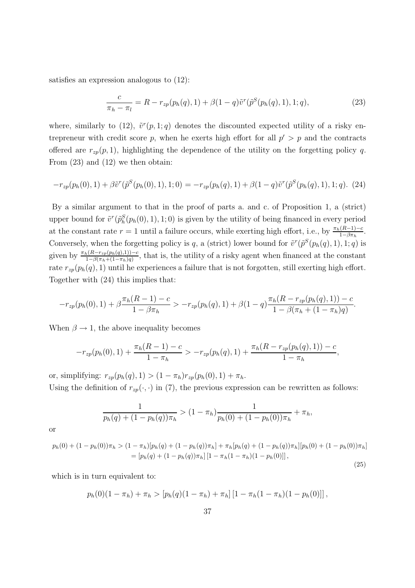satisfies an expression analogous to (12):

$$
\frac{c}{\pi_h - \pi_l} = R - r_{zp}(p_h(q), 1) + \beta(1 - q)\tilde{v}^r(\tilde{p}^S(p_h(q), 1), 1; q),
$$
\n(23)

where, similarly to (12),  $\tilde{v}^r(p, 1; q)$  denotes the discounted expected utility of a risky entrepreneur with credit score p, when he exerts high effort for all  $p' > p$  and the contracts offered are  $r_{zp}(p, 1)$ , highlighting the dependence of the utility on the forgetting policy q. From (23) and (12) we then obtain:

$$
-r_{zp}(p_h(0),1) + \beta \tilde{v}^r(\tilde{p}^S(p_h(0),1),1;0) = -r_{zp}(p_h(q),1) + \beta(1-q)\tilde{v}^r(\tilde{p}^S(p_h(q),1),1;q). \tag{24}
$$

By a similar argument to that in the proof of parts a. and c. of Proposition 1, a (strict) upper bound for  $\tilde{v}^r(\tilde{p}_h^S(p_h(0), 1), 1; 0)$  is given by the utility of being financed in every period at the constant rate  $r = 1$  until a failure occurs, while exerting high effort, i.e., by  $\frac{\pi_h(R-1)-c}{1-\beta\pi_h}$ . Conversely, when the forgetting policy is q, a (strict) lower bound for  $\tilde{v}^r(\tilde{p}^S(p_h(q), 1), 1; q)$  is given by  $\frac{\pi_h(R-r_{zp}(p_h(q),1))-c}{1-\beta(\pi_h+(1-\pi_h)q)}$ , that is, the utility of a risky agent when financed at the constant rate  $r_{zp}(p_h(q), 1)$  until he experiences a failure that is not forgotten, still exerting high effort. Together with (24) this implies that:

$$
-r_{zp}(p_h(0),1)+\beta\frac{\pi_h(R-1)-c}{1-\beta\pi_h} > -r_{zp}(p_h(q),1)+\beta(1-q)\frac{\pi_h(R-r_{zp}(p_h(q),1))-c}{1-\beta(\pi_h+(1-\pi_h)q)}.
$$

When  $\beta \rightarrow 1$ , the above inequality becomes

$$
-r_{zp}(p_h(0),1)+\frac{\pi_h(R-1)-c}{1-\pi_h} > -r_{zp}(p_h(q),1)+\frac{\pi_h(R-r_{zp}(p_h(q),1))-c}{1-\pi_h},
$$

or, simplifying:  $r_{zp}(p_h(q), 1) > (1 - \pi_h) r_{zp}(p_h(0), 1) + \pi_h$ . Using the definition of  $r_{zp}(\cdot, \cdot)$  in (7), the previous expression can be rewritten as follows:

$$
\frac{1}{p_h(q) + (1 - p_h(q))\pi_h} > (1 - \pi_h)\frac{1}{p_h(0) + (1 - p_h(0))\pi_h} + \pi_h,
$$

or

$$
p_h(0) + (1 - p_h(0))\pi_h > (1 - \pi_h)[p_h(q) + (1 - p_h(q))\pi_h] + \pi_h[p_h(q) + (1 - p_h(q))\pi_h][p_h(0) + (1 - p_h(0))\pi_h]
$$
  
= 
$$
[p_h(q) + (1 - p_h(q))\pi_h][1 - \pi_h(1 - \pi_h)(1 - p_h(0))],
$$
 (25)

which is in turn equivalent to:

$$
p_h(0)(1-\pi_h)+\pi_h > [p_h(q)(1-\pi_h)+\pi_h][1-\pi_h(1-\pi_h)(1-p_h(0))],
$$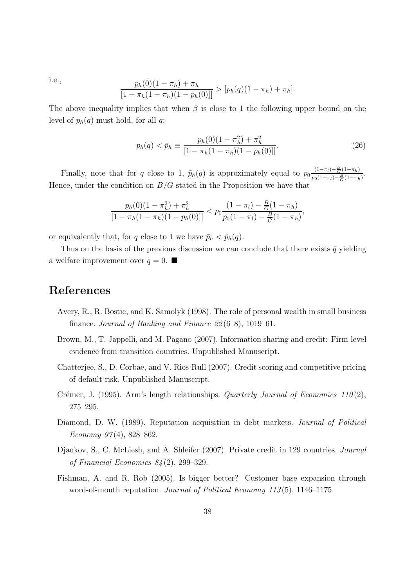i.e., 
$$
\frac{p_h(0)(1-\pi_h)+\pi_h}{[1-\pi_h(1-\pi_h)(1-p_h(0))]} > [p_h(q)(1-\pi_h)+\pi_h].
$$

The above inequality implies that when  $\beta$  is close to 1 the following upper bound on the level of  $p_h(q)$  must hold, for all q:

$$
p_h(q) < \bar{p}_h \equiv \frac{p_h(0)(1 - \pi_h^2) + \pi_h^2}{[1 - \pi_h(1 - \pi_h)(1 - p_h(0))]}.\tag{26}
$$

Finally, note that for q close to 1,  $\tilde{p}_h(q)$  is approximately equal to  $p_0 \frac{(1-\pi_l)-\frac{B}{G}(1-\pi_h)}{n_0(1-\pi_l)-\frac{B}{G}(1-\pi_h)}$  $\frac{(1-\pi_l)-\frac{1}{G}(1-\pi_h)}{p_0(1-\pi_l)-\frac{B}{G}(1-\pi_h)}.$ Hence, under the condition on  $B/G$  stated in the Proposition we have that

$$
\frac{p_h(0)(1-\pi_h^2)+\pi_h^2}{[1-\pi_h(1-\pi_h)(1-p_h(0))]} < p_0 \frac{(1-\pi_l)-\frac{B}{G}(1-\pi_h)}{p_0(1-\pi_l)-\frac{B}{G}(1-\pi_h)},
$$

or equivalently that, for q close to 1 we have  $\bar{p}_h < \tilde{p}_h(q)$ .

Thus on the basis of the previous discussion we can conclude that there exists  $\bar{q}$  yielding a welfare improvement over  $q = 0$ .

# **References**

- Avery, R., R. Bostic, and K. Samolyk (1998). The role of personal wealth in small business finance. Journal of Banking and Finance 22 (6–8), 1019–61.
- Brown, M., T. Jappelli, and M. Pagano (2007). Information sharing and credit: Firm-level evidence from transition countries. Unpublished Manuscript.
- Chatterjee, S., D. Corbae, and V. Rios-Rull (2007). Credit scoring and competitive pricing of default risk. Unpublished Manuscript.
- Crémer, J. (1995). Arm's length relationships. *Quarterly Journal of Economics 110(2)*, 275–295.
- Diamond, D. W. (1989). Reputation acquisition in debt markets. *Journal of Political* Economy  $97(4)$ , 828-862.
- Djankov, S., C. McLiesh, and A. Shleifer (2007). Private credit in 129 countries. Journal of Financial Economics 84 (2), 299–329.
- Fishman, A. and R. Rob (2005). Is bigger better? Customer base expansion through word-of-mouth reputation. Journal of Political Economy 113(5), 1146-1175.